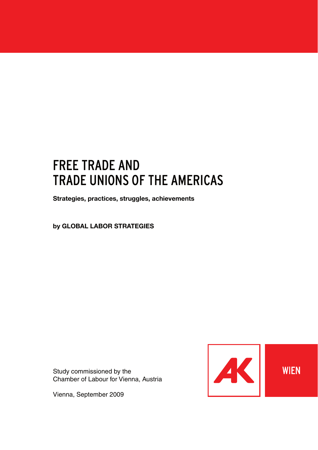# FREE TRADE AND TRADE UNIONS OF THE AMERICAS

**Strategies, practices, struggles, achievements**

**by GLOBAL LABOR STRATEGIES**

Study commissioned by the Chamber of Labour for Vienna, Austria

Vienna, September 2009

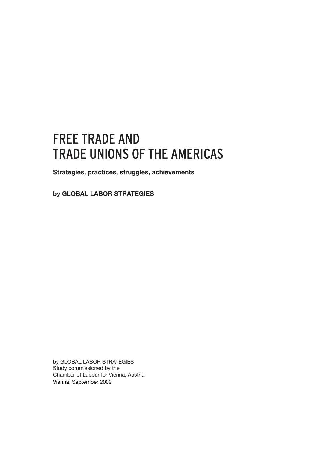# FREE TRADE AND TRADE UNIONS OF THE AMERICAS

**Strategies, practices, struggles, achievements**

**by GLOBAL LABOR STRATEGIES**

by GLOBAL LABOR STRATEGIES Study commissioned by the Chamber of Labour for Vienna, Austria Vienna, September 2009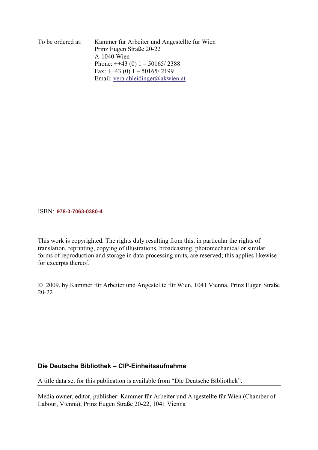To be ordered at: Kammer für Arbeiter und Angestellte für Wien Prinz Eugen Straße 20-22 A-1040 Wien Phone:  $\pm$  +43 (0) 1 – 50165/2388 Fax:  $++43$  (0)  $1 - 50165/2199$ Email: vera.ableidinger@akwien.at

#### ISBN: **978-3-7063-0380-4**

This work is copyrighted. The rights duly resulting from this, in particular the rights of translation, reprinting, copying of illustrations, broadcasting, photomechanical or similar forms of reproduction and storage in data processing units, are reserved; this applies likewise for excerpts thereof.

© 2009, by Kammer für Arbeiter und Angestellte für Wien, 1041 Vienna, Prinz Eugen Straße 20-22

## **Die Deutsche Bibliothek – CIP-Einheitsaufnahme**

A title data set for this publication is available from "Die Deutsche Bibliothek".

Media owner, editor, publisher: Kammer für Arbeiter und Angestellte für Wien (Chamber of Labour, Vienna), Prinz Eugen Straße 20-22, 1041 Vienna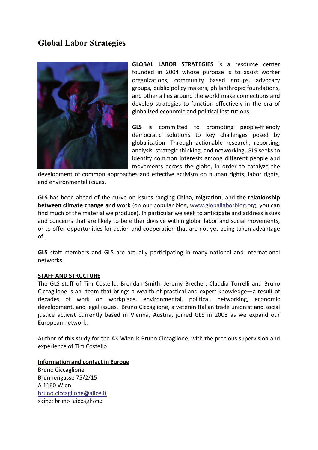# **Global Labor Strategies**



**GLOBAL LABOR STRATEGIES** is a resource center founded in 2004 whose purpose is to assist worker organizations, community based groups, advocacy groups, public policy makers, philanthropic foundations, and other allies around the world make connections and develop strategies to function effectively in the era of globalized economic and political institutions.

**GLS** is committed to promoting people-friendly democratic solutions to key challenges posed by globalization. Through actionable research, reporting, analysis, strategic thinking, and networking, GLS seeks to identify common interests among different people and movements across the globe, in order to catalyze the

development of common approaches and effective activism on human rights, labor rights, and environmental issues.

**GLS** has been ahead of the curve on issues ranging **China**, **migration**, and **the relationship between climate change and work** (on our popular blog, www.globallaborblog.org, you can find much of the material we produce). In particular we seek to anticipate and address issues and concerns that are likely to be either divisive within global labor and social movements, or to offer opportunities for action and cooperation that are not yet being taken advantage of.

**GLS** staff members and GLS are actually participating in many national and international networks.

## **STAFF AND STRUCTURE**

The GLS staff of Tim Costello, Brendan Smith, Jeremy Brecher, Claudia Torrelli and Bruno Ciccaglione is an team that brings a wealth of practical and expert knowledge—a result of decades of work on workplace, environmental, political, networking, economic development, and legal issues. Bruno Ciccaglione, a veteran Italian trade unionist and social justice activist currently based in Vienna, Austria, joined GLS in 2008 as we expand our European network.

Author of this study for the AK Wien is Bruno Ciccaglione, with the precious supervision and experience of Tim Costello

#### **Information and contact in Europe**

Bruno Ciccaglione Brunnengasse 75/2/15 A 1160 Wien bruno.ciccaglione@alice.it skipe: bruno\_ciccaglione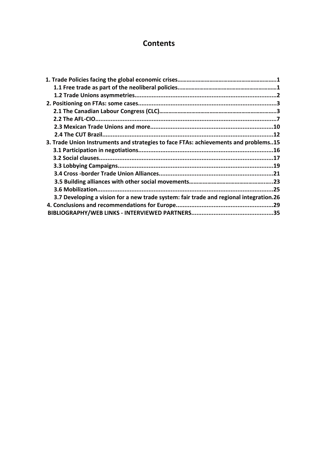## **Contents**

| 3. Trade Union Instruments and strategies to face FTAs: achievements and problems15    |  |
|----------------------------------------------------------------------------------------|--|
|                                                                                        |  |
|                                                                                        |  |
|                                                                                        |  |
|                                                                                        |  |
|                                                                                        |  |
|                                                                                        |  |
| 3.7 Developing a vision for a new trade system: fair trade and regional integration.26 |  |
|                                                                                        |  |
|                                                                                        |  |
|                                                                                        |  |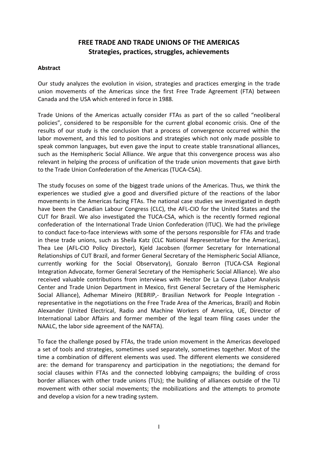## **FREE TRADE AND TRADE UNIONS OF THE AMERICAS Strategies, practices, struggles, achievements**

## **Abstract**

Our study analyzes the evolution in vision, strategies and practices emerging in the trade union movements of the Americas since the first Free Trade Agreement (FTA) between Canada and the USA which entered in force in 1988.

Trade Unions of the Americas actually consider FTAs as part of the so called "neoliberal policies", considered to be responsible for the current global economic crisis. One of the results of our study is the conclusion that a process of convergence occurred within the labor movement, and this led to positions and strategies which not only made possible to speak common languages, but even gave the input to create stable transnational alliances, such as the Hemispheric Social Alliance. We argue that this convergence process was also relevant in helping the process of unification of the trade union movements that gave birth to the Trade Union Confederation of the Americas (TUCA‐CSA).

The study focuses on some of the biggest trade unions of the Americas. Thus, we think the experiences we studied give a good and diversified picture of the reactions of the labor movements in the Americas facing FTAs. The national case studies we investigated in depth have been the Canadian Labour Congress (CLC), the AFL-CIO for the United States and the CUT for Brazil. We also investigated the TUCA‐CSA, which is the recently formed regional confederation of the International Trade Union Confederation (ITUC). We had the privilege to conduct face‐to‐face interviews with some of the persons responsible for FTAs and trade in these trade unions, such as Sheila Katz (CLC National Representative for the Americas), Thea Lee (AFL‐CIO Policy Director), Kjeld Jacobsen (former Secretary for International Relationships of CUT Brazil, and former General Secretary of the Hemispheric Social Alliance, currently working for the Social Observatory), Gonzalo Berron (TUCA‐CSA Regional Integration Advocate, former General Secretary of the Hemispheric Social Alliance). We also received valuable contributions from interviews with Hector De La Cueva (Labor Analysis Center and Trade Union Department in Mexico, first General Secretary of the Hemispheric Social Alliance), Adhemar Mineiro (REBRIP, Brasilian Network for People Integration representative in the negotiations on the Free Trade Area of the Americas, Brazil) and Robin Alexander (United Electrical, Radio and Machine Workers of America, UE, Director of International Labor Affairs and former member of the legal team filing cases under the NAALC, the labor side agreement of the NAFTA).

To face the challenge posed by FTAs, the trade union movement in the Americas developed a set of tools and strategies, sometimes used separately, sometimes together. Most of the time a combination of different elements was used. The different elements we considered are: the demand for transparency and participation in the negotiations; the demand for social clauses within FTAs and the connected lobbying campaigns; the building of cross border alliances with other trade unions (TUs); the building of alliances outside of the TU movement with other social movements; the mobilizations and the attempts to promote and develop a vision for a new trading system.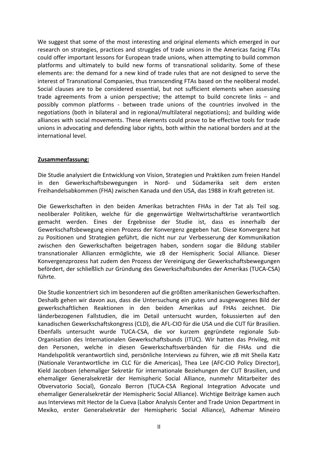We suggest that some of the most interesting and original elements which emerged in our research on strategies, practices and struggles of trade unions in the Americas facing FTAs could offer important lessons for European trade unions, when attempting to build common platforms and ultimately to build new forms of transnational solidarity. Some of these elements are: the demand for a new kind of trade rules that are not designed to serve the interest of Transnational Companies, thus transcending FTAs based on the neoliberal model. Social clauses are to be considered essential, but not sufficient elements when assessing trade agreements from a union perspective; the attempt to build concrete links – and possibly common platforms ‐ between trade unions of the countries involved in the negotiations (both in bilateral and in regional/multilateral negotiations); and building wide alliances with social movements. These elements could prove to be effective tools for trade unions in advocating and defending labor rights, both within the national borders and at the international level.

## **Zusammenfassung:**

Die Studie analysiert die Entwicklung von Vision, Strategien und Praktiken zum freien Handel in den Gewerkschaftsbewegungen in Nord‐ und Südamerika seit dem ersten Freihandelsabkommen (FHA) zwischen Kanada und den USA, das 1988 in Kraft getreten ist.

Die Gewerkschaften in den beiden Amerikas betrachten FHAs in der Tat als Teil sog. neoliberaler Politiken, welche für die gegenwärtige Weltwirtschaftkrise verantwortlich gemacht werden. Eines der Ergebnisse der Studie ist, dass es innerhalb der Gewerkschaftsbewegung einen Prozess der Konvergenz gegeben hat. Diese Konvergenz hat zu Positionen und Strategien geführt, die nicht nur zur Verbesserung der Kommunikation zwischen den Gewerkschaften beigetragen haben, sondern sogar die Bildung stabiler transnationaler Allianzen ermöglichte, wie zB der Hemispheric Social Alliance. Dieser Konvergenzprozess hat zudem den Prozess der Vereinigung der Gewerkschaftsbewegungen befördert, der schließlich zur Gründung des Gewerkschaftsbundes der Amerikas (TUCA‐CSA) führte.

Die Studie konzentriert sich im besonderen auf die größten amerikanischen Gewerkschaften. Deshalb gehen wir davon aus, dass die Untersuchung ein gutes und ausgewogenes Bild der gewerkschaftlichen Reaktionen in den beiden Amerikas auf FHAs zeichnet. Die länderbezogenen Fallstudien, die im Detail untersucht wurden, fokussierten auf den kanadischen Gewerkschaftskongress (CLD), die AFL‐CIO für die USA und die CUT für Brasilien. Ebenfalls untersucht wurde TUCA‐CSA, die vor kurzem gegründete regionale Sub‐ Organisation des Internationalen Gewerkschaftsbunds (ITUC). Wir hatten das Privileg, mit den Personen, welche in diesen Gewerkschaftsverbänden für die FHAs und die Handelspolitik verantwortlich sind, persönliche Interviews zu führen, wie zB mit Sheila Katz (Nationale Verantwortliche im CLC für die Americas), Thea Lee (AFC‐CIO Policy Director), Kield Jacobsen (ehemaliger Sekretär für internationale Beziehungen der CUT Brasilien, und ehemaliger Generalsekretär der Hemispheric Social Alliance, nunmehr Mitarbeiter des Obvervatorio Social), Gonzalo Berron (TUCA‐CSA Regional Integration Advocate und ehemaliger Generalsekretär der Hemispheric Social Alliance). Wichtige Beiträge kamen auch aus Interviews mit Hector de la Cueva (Labor Analysis Center and Trade Union Department in Mexiko, erster Generalsekretär der Hemispheric Social Alliance), Adhemar Mineiro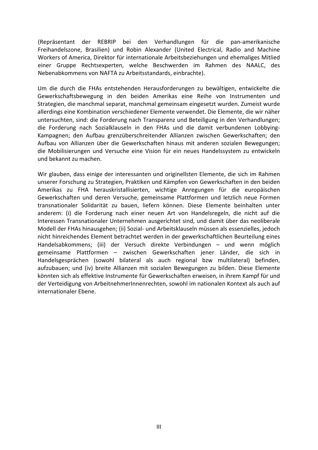(Repräsentant der REBRIP bei den Verhandlungen für die pan‐amerikanische Freihandelszone, Brasilien) und Robin Alexander (United Electrical, Radio and Machine Workers of America, Direktor für internationale Arbeitsbeziehungen und ehemaliges Mitlied einer Gruppe Rechtsexperten, welche Beschwerden im Rahmen des NAALC, des Nebenabkommens von NAFTA zu Arbeitsstandards, einbrachte).

Um die durch die FHAs entstehenden Herausforderungen zu bewältigen, entwickelte die Gewerkschaftsbewegung in den beiden Amerikas eine Reihe von Instrumenten und Strategien, die manchmal separat, manchmal gemeinsam eingesetzt wurden. Zumeist wurde allerdings eine Kombination verschiedener Elemente verwendet. Die Elemente, die wir näher untersuchten, sind: die Forderung nach Transparenz und Beteiligung in den Verhandlungen; die Forderung nach Sozialklauseln in den FHAs und die damit verbundenen Lobbying‐ Kampagnen; den Aufbau grenzüberschreitender Allianzen zwischen Gewerkschaften; den Aufbau von Allianzen über die Gewerkschaften hinaus mit anderen sozialen Bewegungen; die Mobilisierungen und Versuche eine Vision für ein neues Handelssystem zu entwickeln und bekannt zu machen.

Wir glauben, dass einige der interessanten und originellsten Elemente, die sich im Rahmen unserer Forschung zu Strategien, Praktiken und Kämpfen von Gewerkschaften in den beiden Amerikas zu FHA herauskristallisierten, wichtige Anregungen für die europäischen Gewerkschaften und deren Versuche, gemeinsame Plattformen und letzlich neue Formen transnationaler Solidarität zu bauen, liefern können. Diese Elemente beinhalten unter anderem: (i) die Forderung nach einer neuen Art von Handelsregeln, die nicht auf die Interessen Transnationaler Unternehmen ausgerichtet sind, und damit über das neoliberale Modell der FHAs hinausgehen; (ii) Sozial‐ und Arbeitsklauseln müssen als essenzielles, jedoch nicht hinreichendes Element betrachtet werden in der gewerkschaftlichen Beurteilung eines Handelsabkommens; (iii) der Versuch direkte Verbindungen – und wenn möglich gemeinsame Plattformen – zwischen Gewerkschaften jener Länder, die sich in Handelsgesprächen (sowohl bilateral als auch regional bzw multilateral) befinden, aufzubauen; und (iv) breite Allianzen mit sozialen Bewegungen zu bilden. Diese Elemente könnten sich als effektive Instrumente für Gewerkschaften erweisen, in ihrem Kampf für und der Verteidigung von ArbeitnehmerInnenrechten, sowohl im nationalen Kontext als auch auf internationaler Ebene.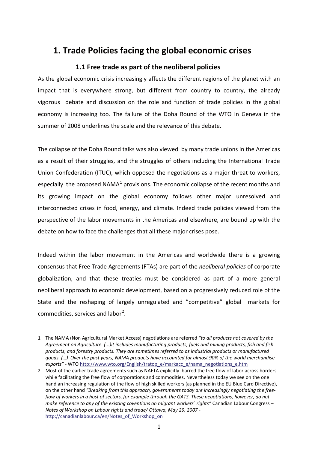# **1. Trade Policies facing the global economic crises**

## **1.1 Free trade as part of the neoliberal policies**

<span id="page-9-1"></span><span id="page-9-0"></span>As the global economic crisis increasingly affects the different regions of the planet with an impact that is everywhere strong, but different from country to country, the already vigorous debate and discussion on the role and function of trade policies in the global economy is increasing too. The failure of the Doha Round of the WTO in Geneva in the summer of 2008 underlines the scale and the relevance of this debate.

The collapse of the Doha Round talks was also viewed by many trade unions in the Americas as a result of their struggles, and the struggles of others including the International Trade Union Confederation (ITUC), which opposed the negotiations as a major threat to workers, especially the proposed NAMA $<sup>1</sup>$  $<sup>1</sup>$  $<sup>1</sup>$  provisions. The economic collapse of the recent months and</sup> its growing impact on the global economy follows other major unresolved and interconnected crises in food, energy, and climate. Indeed trade policies viewed from the perspective of the labor movements in the Americas and elsewhere, are bound up with the debate on how to face the challenges that all these major crises pose.

Indeed within the labor movement in the Americas and worldwide there is a growing consensus that Free Trade Agreements (FTAs) are part of the *neoliberal policies* of corporate globalization, and that these treaties must be considered as part of a more general neoliberal approach to economic development, based on a progressively reduced role of the State and the reshaping of largely unregulated and "competitive" global markets for commodities, services and labor<sup>[2](#page-9-3)</sup>.

<span id="page-9-2"></span><sup>1</sup> The NAMA (Non Agricultural Market Access) negotiations are referred *"to all products not covered by the Agreement on Agriculture. (...)it includes manufacturing products, fuels and mining products, fish and fish products, and forestry products. They are sometimes referred to as industrial products or manufactured* goods. (...) Over the past years, NAMA products have accounted for almost 90% of the world merchandise *exports"* ‐ WTO http://www.wto.org/English/tratop\_e/markacc\_e/nama\_negotiations\_e.htm

<span id="page-9-3"></span><sup>2</sup> Most of the earlier trade agreements such as NAFTA explicitly barred the free flow of labor across borders while facilitating the free flow of corporations and commodities. Nevertheless today we see on the one hand an increasing regulation of the flow of high skilled workers (as planned in the EU Blue Card Directive), on the other hand *"Breaking from this approach, governments today are increasingly negotiating the free‐* flow of workers in a host of sectors, for example through the GATS. These negotiations, however, do not *make reference to any of the existing coventions on migrant workers` rights"* Canadian Labour Congress – *Notes of Workshop on Labour rights and trade/ Ottawa, May 29, 2007 ‐*  http://canadianlabour.ca/en/Notes\_of\_Workshop\_on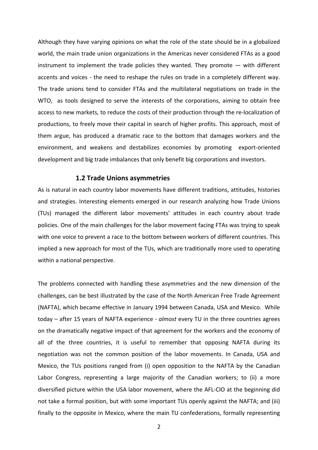Although they have varying opinions on what the role of the state should be in a globalized world, the main trade union organizations in the Americas never considered FTAs as a good instrument to implement the trade policies they wanted. They promote  $-$  with different accents and voices - the need to reshape the rules on trade in a completely different way. The trade unions tend to consider FTAs and the multilateral negotiations on trade in the WTO, as tools designed to serve the interests of the corporations, aiming to obtain free access to new markets, to reduce the costs of their production through the re‐localization of productions, to freely move their capital in search of higher profits. This approach, most of them argue, has produced a dramatic race to the bottom that damages workers and the environment, and weakens and destabilizes economies by promoting export-oriented development and big trade imbalances that only benefit big corporations and investors.

#### **1.2 Trade Unions asymmetries**

<span id="page-10-0"></span>As is natural in each country labor movements have different traditions, attitudes, histories and strategies. Interesting elements emerged in our research analyzing how Trade Unions (TUs) managed the different labor movements' attitudes in each country about trade policies. One of the main challenges for the labor movement facing FTAs was trying to speak with one voice to prevent a race to the bottom between workers of different countries. This implied a new approach for most of the TUs, which are traditionally more used to operating within a national perspective.

The problems connected with handling these asymmetries and the new dimension of the challenges, can be best illustrated by the case of the North American Free Trade Agreement (NAFTA), which became effective in January 1994 between Canada, USA and Mexico. While today – after 15 years of NAFTA experience ‐ *almost* every TU in the three countries agrees on the dramatically negative impact of that agreement for the workers and the economy of all of the three countries, it is useful to remember that opposing NAFTA during its negotiation was not the common position of the labor movements. In Canada, USA and Mexico, the TUs positions ranged from (i) open opposition to the NAFTA by the Canadian Labor Congress, representing a large majority of the Canadian workers; to (ii) a more diversified picture within the USA labor movement, where the AFL‐CIO at the beginning did not take a formal position, but with some important TUs openly against the NAFTA; and (iii) finally to the opposite in Mexico, where the main TU confederations, formally representing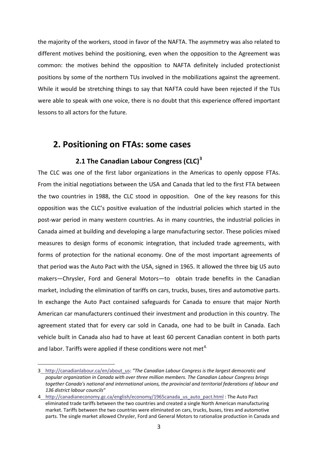the majority of the workers, stood in favor of the NAFTA. The asymmetry was also related to different motives behind the positioning, even when the opposition to the Agreement was common: the motives behind the opposition to NAFTA definitely included protectionist positions by some of the northern TUs involved in the mobilizations against the agreement. While it would be stretching things to say that NAFTA could have been rejected if the TUs were able to speak with one voice, there is no doubt that this experience offered important lessons to all actors for the future.

# **2. Positioning on FTAs: some cases**

# **2.1 The Canadian Labour Congress (CLC)[3](#page-11-2)**

<span id="page-11-1"></span><span id="page-11-0"></span>The CLC was one of the first labor organizations in the Americas to openly oppose FTAs. From the initial negotiations between the USA and Canada that led to the first FTA between the two countries in 1988, the CLC stood in opposition. One of the key reasons for this opposition was the CLC's positive evaluation of the industrial policies which started in the post-war period in many western countries. As in many countries, the industrial policies in Canada aimed at building and developing a large manufacturing sector. These policies mixed measures to design forms of economic integration, that included trade agreements, with forms of protection for the national economy. One of the most important agreements of that period was the Auto Pact with the USA, signed in 1965. It allowed the three big US auto makers—Chrysler, Ford and General Motors—to obtain trade benefits in the Canadian market, including the elimination of tariffs on cars, trucks, buses, tires and automotive parts. In exchange the Auto Pact contained safeguards for Canada to ensure that major North American car manufacturers continued their investment and production in this country. The agreement stated that for every car sold in Canada, one had to be built in Canada. Each vehicle built in Canada also had to have at least 60 percent Canadian content in both parts and labor. Tariffs were applied if these conditions were not met<sup>[4.](#page-11-3)</sup>

<span id="page-11-2"></span><sup>3</sup> http://canadianlabour.ca/en/about\_us: *"The Canadian Labour Congress is the largest democratic and popular organization in Canada with over three million members. The Canadian Labour Congress brings together Canada's national and international unions, the provincial and territorial federations of labour and 136 district labour councils*"

<span id="page-11-3"></span><sup>4</sup>\_http://canadianeconomy.gc.ca/english/economy/1965canada\_us\_auto\_pact.html : The Auto Pact eliminated trade tariffs between the two countries and created a single North American manufacturing market. Tariffs between the two countries were eliminated on cars, trucks, buses, tires and automotive parts. The single market allowed Chrysler, Ford and General Motors to rationalize production in Canada and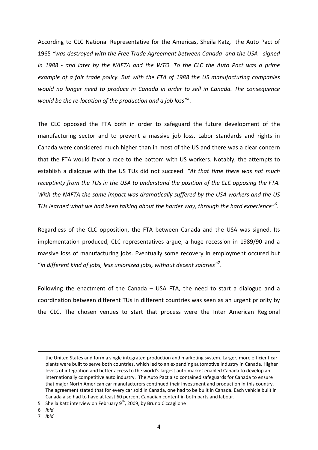According to CLC National Representative for the Americas, Sheila Katz**,** the Auto Pact of 1965 *"was destroyed with the Free Trade Agreement between Canada and the USA ‐ signed in 1988 ‐ and later by the NAFTA and the WTO. To the CLC the Auto Pact was a prime example of a fair trade policy. But with the FTA of 1988 the US manufacturing companies would no longer need to produce in Canada in order to sell in Canada. The consequence would be the re‐location of the production and a job loss"[5](#page-12-0)* .

The CLC opposed the FTA both in order to safeguard the future development of the manufacturing sector and to prevent a massive job loss. Labor standards and rights in Canada were considered much higher than in most of the US and there was a clear concern that the FTA would favor a race to the bottom with US workers. Notably, the attempts to establish a dialogue with the US TUs did not succeed. *"At that time there was not much receptivity from the TUs in the USA to understand the position of the CLC opposing the FTA. With the NAFTA the same impact was dramatically suffered by the USA workers and the US TUs learned what we had been talking about the harder way, through the hard experience"[6](#page-12-1) .*

Regardless of the CLC opposition, the FTA between Canada and the USA was signed. Its implementation produced, CLC representatives argue, a huge recession in 1989/90 and a massive loss of manufacturing jobs. Eventually some recovery in employment occured but "*in different kind of jobs, less unionized jobs, without decent salaries"[7](#page-12-2)* .

Following the enactment of the Canada – USA FTA, the need to start a dialogue and a coordination between different TUs in different countries was seen as an urgent priority by the CLC. The chosen venues to start that process were the Inter American Regional

<span id="page-12-1"></span>6 *Ibid.*

the United States and form a single integrated production and marketing system. Larger, more efficient car plants were built to serve both countries, which led to an expanding automotive industry in Canada. Higher levels of integration and better access to the world's largest auto market enabled Canada to develop an internationally competitive auto industry. The Auto Pact also contained safeguards for Canada to ensure that major North American car manufacturers continued their investment and production in this country. The agreement stated that for every car sold in Canada, one had to be built in Canada. Each vehicle built in Canada also had to have at least 60 percent Canadian content in both parts and labour.

<span id="page-12-0"></span><sup>5</sup> Sheila Katz interview on February 9<sup>th</sup>, 2009, by Bruno Ciccaglione

<span id="page-12-2"></span><sup>7</sup> *Ibid.*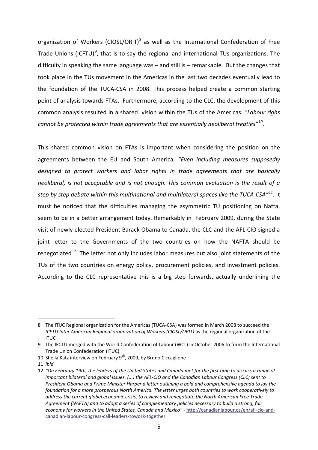organization of Workers (CIOSL/ORIT)<sup>[8](#page-13-0)</sup> as well as the International Confederation of Free Trade Unions (ICFTU)<sup>[9](#page-13-1)</sup>, that is to say the regional and international TUs organizations. The difficulty in speaking the same language was – and still is – remarkable. But the changes that took place in the TUs movement in the Americas in the last two decades eventually lead to the foundation of the TUCA‐CSA in 2008. This process helped create a common starting point of analysis towards FTAs. Furthermore, according to the CLC, the development of this common analysis resulted in a shared vision within the TUs of the Americas: *"Labour righs cannot be protected within trade agreements that are essentially neoliberal treaties"[10](#page-13-2)*.

This shared common vision on FTAs is important when considering the position on the agreements between the EU and South America. *"Even including measures supposedly designed to protect workers and labor rights in trade agreements that are basically neoliberal, is not acceptable and is not enough. This common evaluation is the result of a step by step debate within this multinational and multilateral spaces like the TUCA‐CSA"[11](#page-13-3)*. It must be noticed that the difficulties managing the asymmetric TU positioning on Nafta, seem to be in a better arrangement today. Remarkably in February 2009, during the State visit of newly elected President Barack Obama to Canada, the CLC and the AFL‐CIO signed a joint letter to the Governments of the two countries on how the NAFTA should be renegotiated<sup>12</sup>. The letter not only includes labor measures but also joint statements of the TUs of the two countries on energy policy, procurement policies, and investment policies. According to the CLC representative this is a big step forwards, actually underlining the

<span id="page-13-0"></span><sup>8</sup> The ITUC Regional organization for the Americas (TUCA‐CSA) was formed in March 2008 to succeed the *ICFTU Inter American Regional organization of Workers (CIOSL/ORIT)* as the regional organization of the ITUC

<span id="page-13-1"></span><sup>9</sup> The IFCTU merged with the World Confederation of Labour (WCL) in October 2006 to form the International Trade Union Confederation (ITUC).

<span id="page-13-2"></span><sup>10</sup> Sheila Katz interview on February 9<sup>th</sup>, 2009, by Bruno Ciccaglione

<span id="page-13-3"></span><sup>11</sup> *Ibid.*

<span id="page-13-4"></span><sup>12 &</sup>quot;On February 19th, the leaders of the United States and Canada met for the first time to discuss a range of important bilateral and global issues. (...) the AFL-CIO and the Canadian Labour Congress (CLC) sent to *President Obama and Prime Minister Harper a letter outlining a bold and comprehensive agenda to lay the foundation for a more prosperous North America. The letter urges both countries to work cooperatively to address the current global economic crisis, to review and renegotiate the North American Free Trade Agreement (NAFTA) and to adopt a series of complementary policies necessary to build a strong, fair economy for workers in the United States, Canada and Mexico"* ‐ http://canadianlabour.ca/en/afl‐cio‐and‐ canadian‐labour‐congress‐call‐leaders‐towork‐together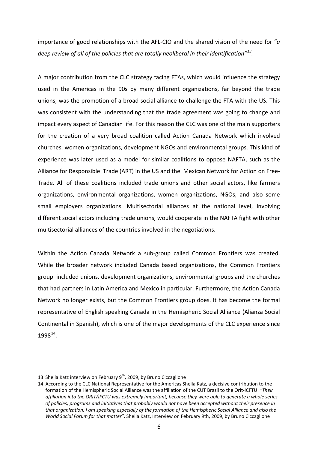importance of good relationships with the AFL‐CIO and the shared vision of the need for *"a deep review of all of the policies that are totally neoliberal in their identification"[13](#page-14-0).*

A major contribution from the CLC strategy facing FTAs, which would influence the strategy used in the Americas in the 90s by many different organizations, far beyond the trade unions, was the promotion of a broad social alliance to challenge the FTA with the US. This was consistent with the understanding that the trade agreement was going to change and impact every aspect of Canadian life. For this reason the CLC was one of the main supporters for the creation of a very broad coalition called Action Canada Network which involved churches, women organizations, development NGOs and environmental groups. This kind of experience was later used as a model for similar coalitions to oppose NAFTA, such as the Alliance for Responsible Trade (ART) in the US and the Mexican Network for Action on Free‐ Trade. All of these coalitions included trade unions and other social actors, like farmers organizations, environmental organizations, women organizations, NGOs, and also some small employers organizations. Multisectorial alliances at the national level, involving different social actors including trade unions, would cooperate in the NAFTA fight with other multisectorial alliances of the countries involved in the negotiations.

Within the Action Canada Network a sub-group called Common Frontiers was created. While the broader network included Canada based organizations, the Common Frontiers group included unions, development organizations, environmental groups and the churches that had partners in Latin America and Mexico in particular. Furthermore, the Action Canada Network no longer exists, but the Common Frontiers group does. It has become the formal representative of English speaking Canada in the Hemispheric Social Alliance (Alianza Social Continental in Spanish), which is one of the major developments of the CLC experience since  $1998^{14}$ .

<span id="page-14-0"></span><sup>13</sup> Sheila Katz interview on February  $9<sup>th</sup>$ , 2009, by Bruno Ciccaglione

<span id="page-14-1"></span><sup>14</sup> According to the CLC National Representative for the Americas Sheila Katz, a decisive contribution to the formation of the Hemispheric Social Alliance was the affiliation of the CUT Brazil to the Orit‐ICFTU: *"Their affiliation into the ORIT/IFCTU was extremely important, because they were able to generate a whole series of policies, programs and initiatives that probably would not have been accepted without their presence in* that organization. I am speaking especially of the formation of the Hemispheric Social Alliance and also the *World Social Forum for that matter"*. Sheila Katz, Interview on February 9th, 2009, by Bruno Ciccaglione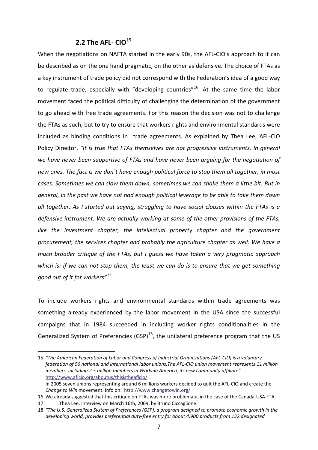## **2.2 The AFL‐ CIO[15](#page-15-1)**

<span id="page-15-0"></span>When the negotiations on NAFTA started in the early 90s, the AFL-CIO's approach to it can be described as on the one hand pragmatic, on the other as defensive. The choice of FTAs as a key instrument of trade policy did not correspond with the Federation's idea of a good way to regulate trade, especially with "developing countries"<sup>[16](#page-15-2)</sup>. At the same time the labor movement faced the political difficulty of challenging the determination of the government to go ahead with free trade agreements. For this reason the decision was not to challenge the FTAs as such, but to try to ensure that workers rights and environmental standards were included as binding conditions in trade agreements. As explained by Thea Lee, AFL‐CIO Policy Director, *"It is true that FTAs themselves are not progressive instruments. In general we have never been supportive of FTAs and have never been arguing for the negotiation of new ones. The fact is we don`t have enough political force to stop them all together, in most cases. Sometimes we can slow them down, sometimes we can shake them a little bit. But in general, in the past we have not had enough political leverage to be able to take them down all together. As I started out saying, struggling to have social clauses within the FTAs is a defensive instrument. We are actually working at some of the other provisions of the FTAs, like the investment chapter, the intellectual property chapter and the government procurement, the services chapter and probably the agriculture chapter as well. We have a much broader critique of the FTAs, but I guess we have taken a very pragmatic approach* which is: if we can not stop them, the least we can do is to ensure that we get something *good out of it for workers"[17](#page-15-3).*

To include workers rights and environmental standards within trade agreements was something already experienced by the labor movement in the USA since the successful campaigns that in 1984 succeeded in including worker rights conditionalities in the Generalized System of Preferencies (GSP)<sup>[18](#page-15-4)</sup>, the unilateral preference program that the US

<span id="page-15-1"></span><sup>15</sup> *"The American Federation of Labor and Congress of Industrial Organizations (AFL‐CIO) is a voluntary federation of 56 national and international labor unions.The AFL‐CIO union movement represents 11 million members, including 2.5 million members in Working America, its new community affiliate"* ‐ http://www.aflcio.org/aboutus/thisistheaflcio/ .

In 2005 seven unions representing around 6 millions workers decided to quit the AFL‐CIO and create the *Change to Win* movement. Info on: http://www.changetowin.org/

<span id="page-15-2"></span><sup>16</sup> We already suggested that this critique on FTAs was more problematic in the case of the Canada‐USA FTA. 17 Thea Lee, Interview on March 16th, 2009, by Bruno Ciccaglione

<span id="page-15-4"></span><span id="page-15-3"></span><sup>18</sup> *"The U.S. Generalized System of Preferences (GSP), a program designed to promote economic growth in the developing world, provides preferential duty‐free entry for about 4,900 products from 132 designated*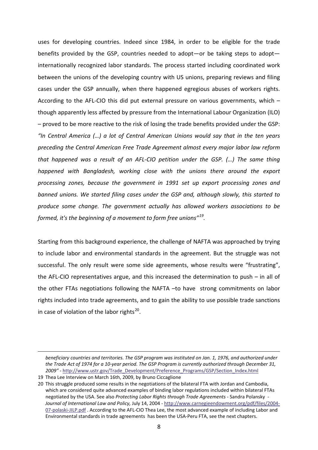uses for developing countries. Indeed since 1984, in order to be eligible for the trade benefits provided by the GSP, countries needed to adopt—or be taking steps to adopt internationally recognized labor standards. The process started including coordinated work between the unions of the developing country with US unions, preparing reviews and filing cases under the GSP annually, when there happened egregious abuses of workers rights. According to the AFL‐CIO this did put external pressure on various governments, which – though apparently less affected by pressure from the International Labour Organization (ILO) – proved to be more reactive to the risk of losing the trade benefits provided under the GSP: *"In Central America (…) a lot of Central American Unions would say that in the ten years preceding the Central American Free Trade Agreement almost every major labor law reform that happened was a result of an AFL‐CIO petition under the GSP. (…) The same thing happened with Bangladesh, working close with the unions there around the export processing zones, because the government in 1991 set up export processing zones and banned unions. We started filing cases under the GSP and, although slowly, this started to produce some change. The government actually has allowed workers associations to be formed, it's the beginning of a movement to form free unions"[19](#page-16-0).*

Starting from this background experience, the challenge of NAFTA was approached by trying to include labor and environmental standards in the agreement. But the struggle was not successful. The only result were some side agreements, whose results were "frustrating", the AFL‐CIO representatives argue, and this increased the determination to push – in all of the other FTAs negotiations following the NAFTA –to have strong commitments on labor rights included into trade agreements, and to gain the ability to use possible trade sanctions in case of violation of the labor rights $^{20}$ .

*beneficiary countries and territories. The GSP program was instituted on Jan. 1, 1976, and authorized under* the Trade Act of 1974 for a 10-year period. The GSP Program is currently authorized through December 31, *2009"* ‐ http://www.ustr.gov/Trade\_Development/Preference\_Programs/GSP/Section\_Index.html

<span id="page-16-0"></span><sup>19</sup> Thea Lee Interview on March 16th, 2009, by Bruno Ciccaglione

<span id="page-16-1"></span><sup>20</sup> This struggle produced some results in the negotiations of the bilateral FTA with Jordan and Cambodia, which are considered quite advanced examples of binding labor regulations included within bilateral FTAs negotiated by the USA. See also *Protecting Labor Rights through Trade Agreements* ‐ Sandra Polansky ‐ *Journal of International Law and Policy,* July 14, 2004 ‐ http://www.carnegieendowment.org/pdf/files/2004‐ 07-polaski-JILP.pdf. According to the AFL-CIO Thea Lee, the most advanced example of including Labor and Environmental standards in trade agreements has been the USA‐Peru FTA, see the next chapters.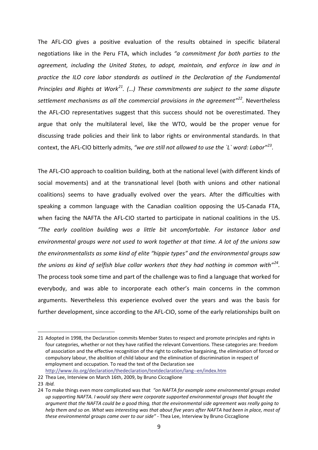The AFL‐CIO gives a positive evaluation of the results obtained in specific bilateral negotiations like in the Peru FTA, which includes *"a commitment for both parties to the agreement, including the United States, to adopt, maintain, and enforce in law and in practice the ILO core labor standards as outlined in the Declaration of the Fundamental Principles and Rights at Work[21.](#page-17-0) (…) These commitments are subject to the same dispute settlement mechanisms as all the commercial provisions in the agreement"[22.](#page-17-1)* Nevertheless the AFL‐CIO representatives suggest that this success should not be overestimated. They argue that only the multilateral level, like the WTO, would be the proper venue for discussing trade policies and their link to labor rights or environmental standards. In that context, the AFL‐CIO bitterly admits, *"we are still not allowed to use the `L` word: Labor"[23](#page-17-2)*.

The AFL-CIO approach to coalition building, both at the national level (with different kinds of social movements) and at the transnational level (both with unions and other national coalitions) seems to have gradually evolved over the years. After the difficulties with speaking a common language with the Canadian coalition opposing the US‐Canada FTA, when facing the NAFTA the AFL-CIO started to participate in national coalitions in the US. *"The early coalition building was a little bit uncomfortable. For instance labor and environmental groups were not used to work together at that time. A lot of the unions saw the environmentalists as some kind of elite "hippie types" and the environmental groups saw the unions as kind of selfish blue collar workers that they had nothing in common with"[24](#page-17-3).* The process took some time and part of the challenge was to find a language that worked for everybody, and was able to incorporate each other's main concerns in the common arguments. Nevertheless this experience evolved over the years and was the basis for further development, since according to the AFL‐CIO, some of the early relationships built on

<span id="page-17-0"></span><sup>21</sup> Adopted in 1998, the Declaration commits Member States to respect and promote principles and rights in four categories, whether or not they have ratified the relevant Conventions. These categories are: freedom of association and the effective recognition of the right to collective bargaining, the elimination of forced or compulsory labour, the abolition of child labour and the elimination of discrimination in respect of employment and occupation. To read the text of the Declaration see http://www.ilo.org/declaration/thedeclaration/textdeclaration/lang‐‐en/index.htm

<span id="page-17-1"></span><sup>22</sup> Thea Lee, Interview on March 16th, 2009, by Bruno Ciccaglione

<span id="page-17-2"></span><sup>23</sup> *Ibid.*

<span id="page-17-3"></span><sup>24</sup> To make things even more complicated was that *"on NAFTA for example some environmental groups ended up supporting NAFTA. I would say there were corporate supported environmental groups that bought the* argument that the NAFTA could be a good thing, that the environmental side agreement was really going to help them and so on. What was interesting was that about five years after NAFTA had been in place, most of *these environmental groups came over to our side"* ‐ Thea Lee, Interview by Bruno Ciccaglione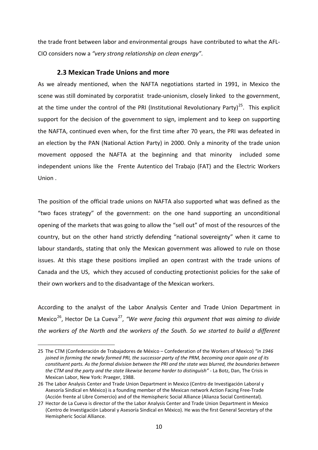the trade front between labor and environmental groups have contributed to what the AFL‐ CIO considers now a *"very strong relationship on clean energy"*.

## **2.3 Mexican Trade Unions and more**

<span id="page-18-0"></span>As we already mentioned, when the NAFTA negotiations started in 1991, in Mexico the scene was still dominated by corporatist trade-unionism, closely linked to the government, at the time under the control of the PRI (Institutional Revolutionary Party)<sup>25</sup>. This explicit support for the decision of the government to sign, implement and to keep on supporting the NAFTA, continued even when, for the first time after 70 years, the PRI was defeated in an election by the PAN (National Action Party) in 2000. Only a minority of the trade union movement opposed the NAFTA at the beginning and that minority included some independent unions like the Frente Autentico del Trabajo (FAT) and the Electric Workers Union .

The position of the official trade unions on NAFTA also supported what was defined as the "two faces strategy" of the government: on the one hand supporting an unconditional opening of the markets that was going to allow the "sell out" of most of the resources of the country, but on the other hand strictly defending "national sovereignty" when it came to labour standards, stating that only the Mexican government was allowed to rule on those issues. At this stage these positions implied an open contrast with the trade unions of Canada and the US, which they accused of conducting protectionist policies for the sake of their own workers and to the disadvantage of the Mexican workers.

According to the analyst of the Labor Analysis Center and Trade Union Department in Mexico[26](#page-18-2), Hector De La Cueva[27](#page-18-3), *"We were facing this argument that was aiming to divide the workers of the North and the workers of the South. So we started to build a different*

<span id="page-18-1"></span><sup>25</sup> The CTM (Confederación de Trabajadores de México – Confederation of the Workers of Mexico) *"in 1946* joined in forming the newly formed PRI, the successor party of the PRM, becoming once again one of its constituent parts. As the formal division between the PRI and the state was blurred, the boundaries between *the CTM and the party and the state likewise became harder to distinguish"* ‐ La Botz, Dan, The Crisis in Mexican Labor, New York: Praeger, 1988.

<span id="page-18-2"></span><sup>26</sup> The Labor Analysis Center and Trade Union Department in Mexico (Centro de Investigación Laboral y Asesoría Sindical en México) is a founding member of the Mexican network Action Facing Free‐Trade (Acción frente al Libre Comercio) and of the Hemispheric Social Alliance (Alianza Social Continental).

<span id="page-18-3"></span><sup>27</sup> Hector de La Cueva is director of the the Labor Analysis Center and Trade Union Department in Mexico (Centro de Investigación Laboral y Asesoría Sindical en México). He was the first General Secretary of the Hemispheric Social Alliance.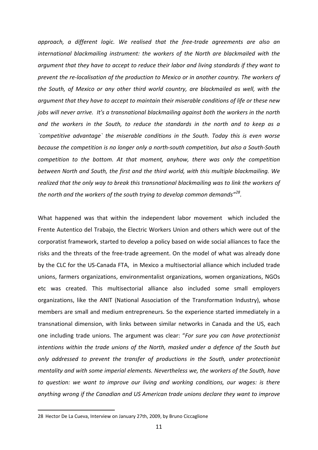*approach, a different logic. We realised that the free‐trade agreements are also an international blackmailing instrument: the workers of the North are blackmailed with the argument that they have to accept to reduce their labor and living standards if they want to prevent the re‐localisation of the production to Mexico or in another country. The workers of the South, of Mexico or any other third world country, are blackmailed as well, with the argument that they have to accept to maintain their miserable conditions of life or these new jobs will never arrive. It's a transnational blackmailing against both the workers in the north and the workers in the South, to reduce the standards in the north and to keep as a `competitive advantage` the miserable conditions in the South. Today this is even worse because the competition is no longer only a north‐south competition, but also a South‐South competition to the bottom. At that moment, anyhow, there was only the competition between North and South, the first and the third world, with this multiple blackmailing. We realized that the only way to break this transnational blackmailing was to link the workers of the north and the workers of the south trying to develop common demands"[28.](#page-19-0)*

What happened was that within the independent labor movement which included the Frente Autentico del Trabajo, the Electric Workers Union and others which were out of the corporatist framework, started to develop a policy based on wide social alliances to face the risks and the threats of the free‐trade agreement. On the model of what was already done by the CLC for the US‐Canada FTA, in Mexico a multisectorial alliance which included trade unions, farmers organizations, environmentalist organizations, women organizations, NGOs etc was created. This multisectorial alliance also included some small employers organizations, like the ANIT (National Association of the Transformation Industry), whose members are small and medium entrepreneurs. So the experience started immediately in a transnational dimension, with links between similar networks in Canada and the US, each one including trade unions. The argument was clear: "*For sure you can have protectionist intentions within the trade unions of the North, masked under a defence of the South but only addressed to prevent the transfer of productions in the South, under protectionist mentality and with some imperial elements. Nevertheless we, the workers of the South, have to question: we want to improve our living and working conditions, our wages: is there anything wrong if the Canadian and US American trade unions declare they want to improve*

<span id="page-19-0"></span><sup>28</sup> Hector De La Cueva, Interview on January 27th, 2009, by Bruno Ciccaglione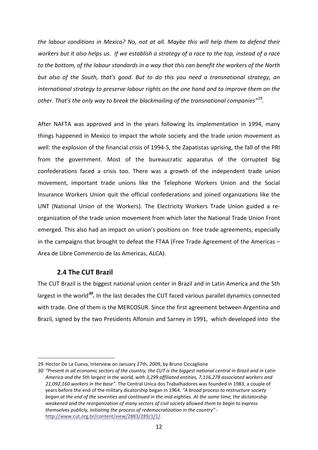*the labour conditions in Mexico? No, not at all. Maybe this will help them to defend their* workers but it also helps us. If we establish a strategy of a race to the top, instead of a race to the bottom, of the labour standards in a way that this can benefit the workers of the North *but also of the South, that's good. But to do this you need a transnational strategy, an international strategy to preserve labour rights on the one hand and to improve them on the other. That's the only way to break the blackmailing of the transnational companies"[29](#page-20-1).*

After NAFTA was approved and in the years following its implementation in 1994, many things happened in Mexico to impact the whole society and the trade union movement as well: the explosion of the financial crisis of 1994‐5, the Zapatistas uprising, the fall of the PRI from the government. Most of the bureaucratic apparatus of the corrupted big confederations faced a crisis too. There was a growth of the independent trade union movement, important trade unions like the Telephone Workers Union and the Social Insurance Workers Union quit the official confederations and joined organizations like the UNT (National Union of the Workers). The Electricity Workers Trade Union guided a re‐ organization of the trade union movement from which later the National Trade Union Front emerged. This also had an impact on union's positions on free trade agreements, especially in the campaigns that brought to defeat the FTAA (Free Trade Agreement of the Americas – Area de Libre Commercio de las Americas, ALCA).

## **2.4 The CUT Brazil**

<u>.</u>

<span id="page-20-0"></span>The CUT Brazil is the biggest national union center in Brazil and in Latin America and the 5th largest in the world*[30](#page-20-2).* In the last decades the CUT faced various parallel dynamics connected with trade. One of them is the MERCOSUR. Since the first agreement between Argentina and Brazil, signed by the two Presidents Alfonsin and Sarney in 1991, which developed into the

<span id="page-20-1"></span><sup>29</sup> Hector De La Cueva, Interview on January 27th, 2009, by Bruno Ciccaglione

<span id="page-20-2"></span><sup>30 &</sup>quot;Present in all economic sectors of the country, the CUT is the biggest national central in Brazil and in Latin *America and the 5th largest in the world, with 3,299 affiliated entities, 7,116,278 associated workers and 21,092,160 workers in the base"*. The Central Unica dos Trabalhadores was founded in 1983, a couple of years before the end of the military dicatorship began in 1964. *"A broad process to restructure society* began at the end of the seventies and continued in the mid-eighties. At the same time, the dictatorship *weakened and the reorganization of many sectors of civil society allowed them to begin to express themselves publicly, initiating the process of redemocratization in the country"* ‐ http://www.cut.org.br/content/view/2883/289/1/1/ .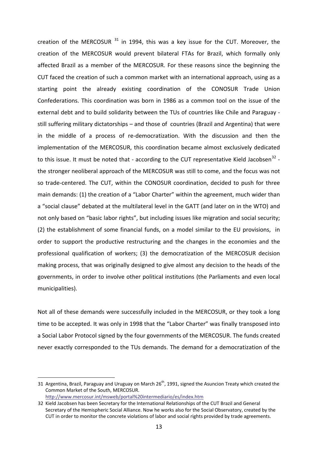creation of the MERCOSUR  $31$  in 1994, this was a key issue for the CUT. Moreover, the creation of the MERCOSUR would prevent bilateral FTAs for Brazil, which formally only affected Brazil as a member of the MERCOSUR. For these reasons since the beginning the CUT faced the creation of such a common market with an international approach, using as a starting point the already existing coordination of the CONOSUR Trade Union Confederations. This coordination was born in 1986 as a common tool on the issue of the external debt and to build solidarity between the TUs of countries like Chile and Paraguay ‐ still suffering military dictatorships – and those of countries (Brazil and Argentina) that were in the middle of a process of re‐democratization. With the discussion and then the implementation of the MERCOSUR, this coordination became almost exclusively dedicated to this issue. It must be noted that - according to the CUT representative Kield Jacobsen<sup>[32](#page-21-1)</sup> the stronger neoliberal approach of the MERCOSUR was still to come, and the focus was not so trade-centered. The CUT, within the CONOSUR coordination, decided to push for three main demands: (1) the creation of a "Labor Charter" within the agreement, much wider than a "social clause" debated at the multilateral level in the GATT (and later on in the WTO) and not only based on "basic labor rights", but including issues like migration and social security; (2) the establishment of some financial funds, on a model similar to the EU provisions, in order to support the productive restructuring and the changes in the economies and the professional qualification of workers; (3) the democratization of the MERCOSUR decision making process, that was originally designed to give almost any decision to the heads of the governments, in order to involve other political institutions (the Parliaments and even local municipalities).

Not all of these demands were successfully included in the MERCOSUR, or they took a long time to be accepted. It was only in 1998 that the "Labor Charter" was finally transposed into a Social Labor Protocol signed by the four governments of the MERCOSUR. The funds created never exactly corresponded to the TUs demands. The demand for a democratization of the

<span id="page-21-0"></span><sup>31</sup> Argentina, Brazil, Paraguay and Uruguay on March  $26<sup>th</sup>$ , 1991, signed the Asuncion Treaty which created the Common Market of the South, MERCOSUR. http://www.mercosur.int/msweb/portal%20intermediario/es/index.htm

<span id="page-21-1"></span><sup>32</sup> Kield Jacobsen has been Secretary for the International Relationships of the CUT Brazil and General Secretary of the Hemispheric Social Alliance. Now he works also for the Social Observatory, created by the CUT in order to monitor the concrete violations of labor and social rights provided by trade agreements.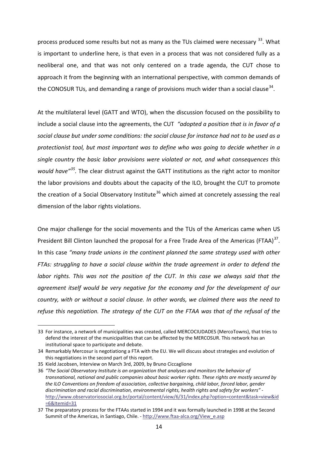process produced some results but not as many as the TUs claimed were necessary <sup>[33](#page-22-0)</sup>. What is important to underline here, is that even in a process that was not considered fully as a neoliberal one, and that was not only centered on a trade agenda, the CUT chose to approach it from the beginning with an international perspective, with common demands of the CONOSUR TUs, and demanding a range of provisions much wider than a social clause  $34$ .

At the multilateral level (GATT and WTO), when the discussion focused on the possibility to include a social clause into the agreements, the CUT *"adopted a position that is in favor of a social clause but under some conditions: the social clause for instance had not to be used as a protectionist tool, but most important was to define who was going to decide whether in a single country the basic labor provisions were violated or not, and what consequences this would have"[35.](#page-22-2)* The clear distrust against the GATT institutions as the right actor to monitor the labor provisions and doubts about the capacity of the ILO, brought the CUT to promote the creation of a Social Observatory Institute<sup>[36](#page-22-3)</sup> which aimed at concretely assessing the real dimension of the labor rights violations.

One major challenge for the social movements and the TUs of the Americas came when US President Bill Clinton launched the proposal for a Free Trade Area of the Americas (FTAA)<sup>[37](#page-22-4)</sup>. In this case *"many trade unions in the continent planned the same strategy used with other FTAs: struggling to have a social clause within the trade agreement in order to defend the labor rights. This was not the position of the CUT. In this case we always said that the agreement itself would be very negative for the economy and for the development of our country, with or without a social clause. In other words, we claimed there was the need to refuse this negotiation. The strategy of the CUT on the FTAA was that of the refusal of the*

<span id="page-22-0"></span><sup>33</sup> For instance, a network of municipalities was created, called MERCOCIUDADES (MercoTowns), that tries to defend the interest of the municipalities that can be affected by the MERCOSUR. This network has an institutional space to participate and debate.

<span id="page-22-1"></span><sup>34</sup> Remarkably Mercosur is negotiationg a FTA with the EU. We will discuss about strategies and evolution of this negotiations in the second part of this report.

<span id="page-22-2"></span><sup>35</sup> Kield Jacobsen, Interview on March 3rd, 2009, by Bruno Ciccaglione

<span id="page-22-3"></span><sup>36</sup> *"The Social Observatory Institute is an organization that analyses and monitors the behavior of transnational, national and public companies about basic worker rights. These rights are mostly secured by the ILO Conventions on freedom of association, collective bargaining, child labor, forced labor, gender discrimination and racial discrimination, environmental rights, health rights and safety for workers"* ‐ http://www.observatoriosocial.org.br/portal/content/view/6/31/index.php?option=content&task=view&id =6&Itemid=31

<span id="page-22-4"></span><sup>37</sup> The preparatory process for the FTAAs started in 1994 and it was formally launched in 1998 at the Second Summit of the Americas, in Santiago, Chile. - http://www.ftaa-alca.org/View\_e.asp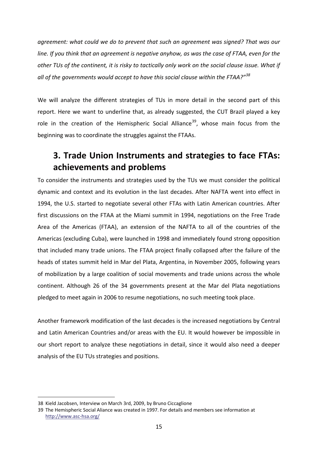*agreement: what could we do to prevent that such an agreement was signed? That was our* line. If you think that an agreement is negative anyhow, as was the case of FTAA, even for the other TUs of the continent, it is risky to tactically only work on the social clause issue. What if *all of the governments would accept to have this social clause within the FTAA?"[38](#page-23-1)*

We will analyze the different strategies of TUs in more detail in the second part of this report. Here we want to underline that, as already suggested, the CUT Brazil played a key role in the creation of the Hemispheric Social Alliance<sup>39</sup>, whose main focus from the beginning was to coordinate the struggles against the FTAAs.

# **3. Trade Union Instruments and strategies to face FTAs: achievements and problems**

<span id="page-23-0"></span>To consider the instruments and strategies used by the TUs we must consider the political dynamic and context and its evolution in the last decades. After NAFTA went into effect in 1994, the U.S. started to negotiate several other FTAs with Latin American countries. After first discussions on the FTAA at the Miami summit in 1994, negotiations on the Free Trade Area of the Americas (FTAA), an extension of the NAFTA to all of the countries of the Americas (excluding Cuba), were launched in 1998 and immediately found strong opposition that included many trade unions. The FTAA project finally collapsed after the failure of the heads of states summit held in Mar del Plata, Argentina, in November 2005, following years of mobilization by a large coalition of social movements and trade unions across the whole continent. Although 26 of the 34 governments present at the Mar del Plata negotiations pledged to meet again in 2006 to resume negotiations, no such meeting took place.

Another framework modification of the last decades is the increased negotiations by Central and Latin American Countries and/or areas with the EU. It would however be impossible in our short report to analyze these negotiations in detail, since it would also need a deeper analysis of the EU TUs strategies and positions.

<span id="page-23-1"></span><sup>38</sup> Kield Jacobsen, Interview on March 3rd, 2009, by Bruno Ciccaglione

<span id="page-23-2"></span><sup>39</sup> The Hemispheric Social Aliance was created in 1997. For details and members see information at http://www.asc‐hsa.org/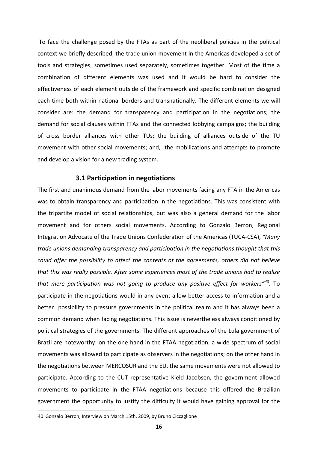To face the challenge posed by the FTAs as part of the neoliberal policies in the political context we briefly described, the trade union movement in the Americas developed a set of tools and strategies, sometimes used separately, sometimes together. Most of the time a combination of different elements was used and it would be hard to consider the effectiveness of each element outside of the framework and specific combination designed each time both within national borders and transnationally. The different elements we will consider are: the demand for transparency and participation in the negotiations; the demand for social clauses within FTAs and the connected lobbying campaigns; the building of cross border alliances with other TUs; the building of alliances outside of the TU movement with other social movements; and, the mobilizations and attempts to promote and develop a vision for a new trading system.

#### **3.1 Participation in negotiations**

<span id="page-24-0"></span>The first and unanimous demand from the labor movements facing any FTA in the Americas was to obtain transparency and participation in the negotiations. This was consistent with the tripartite model of social relationships, but was also a general demand for the labor movement and for others social movements. According to Gonzalo Berron, Regional Integration Advocate of the Trade Unions Confederation of the Americas (TUCA‐CSA), *"Many trade unions demanding transparency and participation in the negotiations thought that this could offer the possibility to affect the contents of the agreements, others did not believe that this was really possible. After some experiences most of the trade unions had to realize that mere participation was not going to produce any positive effect for workers"[40](#page-24-1)*. To participate in the negotiations would in any event allow better access to information and a better possibility to pressure governments in the political realm and it has always been a common demand when facing negotiations. This issue is nevertheless always conditioned by political strategies of the governments. The different approaches of the Lula government of Brazil are noteworthy: on the one hand in the FTAA negotiation, a wide spectrum of social movements was allowed to participate as observers in the negotiations; on the other hand in the negotiations between MERCOSUR and the EU, the same movements were not allowed to participate. According to the CUT representative Kield Jacobsen, the government allowed movements to participate in the FTAA negotiations because this offered the Brazilian government the opportunity to justify the difficulty it would have gaining approval for the

<span id="page-24-1"></span><sup>40</sup> Gonzalo Berron, Interview on March 15th, 2009, by Bruno Ciccaglione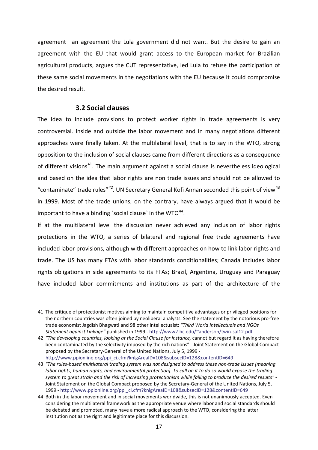agreement—an agreement the Lula government did not want. But the desire to gain an agreement with the EU that would grant access to the European market for Brazilian agricultural products, argues the CUT representative, led Lula to refuse the participation of these same social movements in the negotiations with the EU because it could compromise the desired result.

## **3.2 Social clauses**

1

<span id="page-25-0"></span>The idea to include provisions to protect worker rights in trade agreements is very controversial. Inside and outside the labor movement and in many negotiations different approaches were finally taken. At the multilateral level, that is to say in the WTO, strong opposition to the inclusion of social clauses came from different directions as a consequence of different visions<sup>[41](#page-25-1)</sup>. The main argument against a social clause is nevertheless ideological and based on the idea that labor rights are non trade issues and should not be allowed to "contaminate" trade rules<sup>"[42](#page-25-2)</sup>. UN Secretary General Kofi Annan seconded this point of view<sup>[43](#page-25-3)</sup> in 1999. Most of the trade unions, on the contrary, have always argued that it would be important to have a binding 'social clause' in the WTO $^{44}$  $^{44}$  $^{44}$ .

If at the multilateral level the discussion never achieved any inclusion of labor rights protections in the WTO, a series of bilateral and regional free trade agreements have included labor provisions, although with different approaches on how to link labor rights and trade. The US has many FTAs with labor standards conditionalities; Canada includes labor rights obligations in side agreements to its FTAs; Brazil, Argentina, Uruguay and Paraguay have included labor commitments and institutions as part of the architecture of the

<span id="page-25-1"></span><sup>41</sup> The critique of protectionist motives aiming to maintain competitive advantages or privileged positions for the northern countries was often joined by neoliberal analysts. See the statement by the notorious pro‐free trade economist Jagdish Bhagwati and 98 other intellectualst: *"Third World Intellectuals and NGOs Statement against Linkage"* published in 1999 ‐ http://www2.bc.edu/~anderson/twin‐sal12.pdf

<span id="page-25-2"></span><sup>42</sup> *"The developing countries, looking at the Social Clause for instance,* cannot but regard it as having therefore been contaminated by the selectivity imposed by the rich nations" ‐ Joint Statement on the Global Compact proposed by the Secretary‐General of the United Nations, July 5, 1999 ‐ http://www.ppionline.org/ppi\_ci.cfm?knlgAreaID=108&subsecID=128&contentID=649

<span id="page-25-3"></span><sup>43 &</sup>quot;The rules-based multilateral trading system was not designed to address these non-trade issues [meaning labor rights, human rights, and environmental protection]. To call on it to do so would expose the trading system to great strain and the risk of increasing protectionism while failing to produce the desired results" -Joint Statement on the Global Compact proposed by the Secretary-General of the United Nations, July 5, 1999 ‐ http://www.ppionline.org/ppi\_ci.cfm?knlgAreaID=108&subsecID=128&contentID=649

<span id="page-25-4"></span><sup>44</sup> Both in the labor movement and in social movements worldwide, this is not unanimously accepted. Even considering the multilateral framework as the appropriate venue where labor and social standards should be debated and promoted, many have a more radical approach to the WTO, considering the latter institution not as the right and legitimate place for this discussion.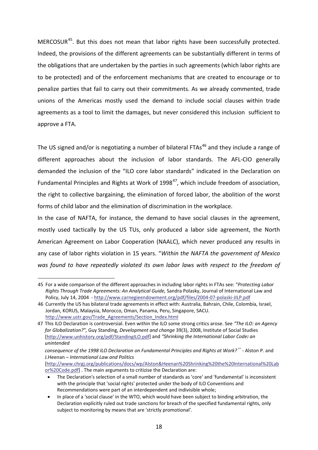MERCOSUR<sup>45</sup>. But this does not mean that labor rights have been successfully protected. Indeed, the provisions of the different agreements can be substantially different in terms of the obligations that are undertaken by the parties in such agreements (which labor rights are to be protected) and of the enforcement mechanisms that are created to encourage or to penalize parties that fail to carry out their commitments. As we already commented, trade unions of the Americas mostly used the demand to include social clauses within trade agreements as a tool to limit the damages, but never considered this inclusion sufficient to approve a FTA.

The US signed and/or is negotiating a number of bilateral FTAs<sup>[46](#page-26-1)</sup> and they include a range of different approaches about the inclusion of labor standards. The AFL‐CIO generally demanded the inclusion of the "ILO core labor standards" indicated in the Declaration on Fundamental Principles and Rights at Work of  $1998^{47}$ , which include freedom of association, the right to collective bargaining, the elimination of forced labor, the abolition of the worst forms of child labor and the elimination of discrimination in the workplace.

In the case of NAFTA, for instance, the demand to have social clauses in the agreement, mostly used tactically by the US TUs, only produced a labor side agreement, the North American Agreement on Labor Cooperation (NAALC), which never produced any results in any case of labor rights violation in 15 years. "*Within the NAFTA the government of Mexico was found to have repeatedly violated its own labor laws with respect to the freedom of*

<span id="page-26-0"></span><sup>45</sup> For a wide comparison of the different approaches in including labor rights in FTAs see: "*Protecting Labor Rights Through Trade Agreements: An Analytical Guide,* Sandra Polasky, Journal of International Law and Policy, July 14, 2004 ‐ http://www.carnegieendowment.org/pdf/files/2004‐07‐polaski‐JILP.pdf

<span id="page-26-1"></span><sup>46</sup> Currently the US has bilateral trade agreements in effect with: Australia, Bahrain, Chile, Colombia, Israel, Jordan, KORUS, Malaysia, Morocco, Oman, Panama, Peru, Singapore, SACU. http://www.ustr.gov/Trade\_Agreements/Section\_Index.html

<span id="page-26-2"></span><sup>47</sup> This ILO Declaration is controversial. Even within the ILO some strong critics arose. See *"The ILO: an Agency for Globalization?",* Guy Standing, *Development and change* 39(3), 2008, Institute of Social Studies [http://www.unhistory.org/pdf/StandingILO.pdf] and *"Shrinking the International Labor Code: an unintended*

*consequence of the 1998 ILO Declaration on Fundamental Principles and Rights at Work?"* ‐ Alston P. and J.Heenan – *International Law and Politics*

<sup>[</sup>http://www.chrgj.org/publications/docs/wp/Alston&Heenan%20Shrinking%20the%20International%20Lab or%20Code.pdf] . The main arguments to critizise the Declaration are:

<sup>•</sup> The Declaration's selection of a small number of standards as 'core' and 'fundamental' is inconsistent with the principle that 'social rights' protected under the body of ILO Conventions and Recommendations were part of an interdependent and indivisible whole;

<sup>•</sup> In place of a 'social clause' in the WTO, which would have been subject to binding arbitration, the Declaration explicitly ruled out trade sanctions for breach of the specified fundamental rights, only subject to monitoring by means that are 'strictly promotional'.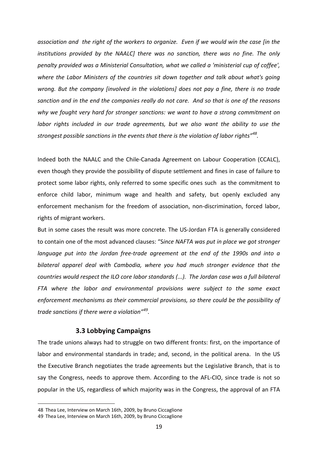association and the right of the workers to organize. Even if we would win the case [in the *institutions provided by the NAALC] there was no sanction, there was no fine. The only penalty provided was a Ministerial Consultation, what we called a 'ministerial cup of coffee', where the Labor Ministers of the countries sit down together and talk about what's going wrong. But the company [involved in the violations] does not pay a fine, there is no trade* sanction and in the end the companies really do not care. And so that is one of the reasons *why we fought very hard for stronger sanctions: we want to have a strong commitment on labor rights included in our trade agreements, but we also want the ability to use the strongest possible sanctions in the events that there is the violation of labor rights"[48](#page-27-1).* 

Indeed both the NAALC and the Chile‐Canada Agreement on Labour Cooperation (CCALC), even though they provide the possibility of dispute settlement and fines in case of failure to protect some labor rights, only referred to some specific ones such as the commitment to enforce child labor, minimum wage and health and safety, but openly excluded any enforcement mechanism for the freedom of association, non-discrimination, forced labor, rights of migrant workers.

But in some cases the result was more concrete. The US‐Jordan FTA is generally considered to contain one of the most advanced clauses: "S*ince NAFTA was put in place we got stronger language put into the Jordan free‐trade agreement at the end of the 1990s and into a bilateral apparel deal with Cambodia, where you had much stronger evidence that the countries would respect the ILO core labor standards (...). The Jordan case was a full bilateral FTA where the labor and environmental provisions were subject to the same exact enforcement mechanisms as their commercial provisions, so there could be the possibility of trade sanctions if there were a violation"[49.](#page-27-2)* 

## **3.3 Lobbying Campaigns**

<span id="page-27-0"></span>The trade unions always had to struggle on two different fronts: first, on the importance of labor and environmental standards in trade; and, second, in the political arena. In the US the Executive Branch negotiates the trade agreements but the Legislative Branch, that is to say the Congress, needs to approve them. According to the AFL‐CIO, since trade is not so popular in the US, regardless of which majority was in the Congress, the approval of an FTA

<span id="page-27-1"></span><sup>48</sup> Thea Lee, Interview on March 16th, 2009, by Bruno Ciccaglione

<span id="page-27-2"></span><sup>49</sup> Thea Lee, Interview on March 16th, 2009, by Bruno Ciccaglione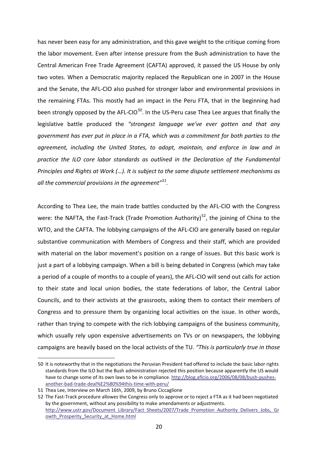has never been easy for any administration, and this gave weight to the critique coming from the labor movement. Even after intense pressure from the Bush administration to have the Central American Free Trade Agreement (CAFTA) approved, it passed the US House by only two votes. When a Democratic majority replaced the Republican one in 2007 in the House and the Senate, the AFL‐CIO also pushed for stronger labor and environmental provisions in the remaining FTAs. This mostly had an impact in the Peru FTA, that in the beginning had been strongly opposed by the AFL-CIO<sup>[50](#page-28-0)</sup>. In the US-Peru case Thea Lee argues that finally the legislative battle produced the *"strongest language we've ever gotten and that any government has ever put in place in a FTA, which was a commitment for both parties to the agreement, including the United States, to adopt, maintain, and enforce in law and in practice the ILO core labor standards as outlined in the Declaration of the Fundamental Principles and Rights at Work (…). It is subject to the same dispute settlement mechanisms as all the commercial provisions in the agreement"[51.](#page-28-1)*

According to Thea Lee, the main trade battles conducted by the AFL‐CIO with the Congress were: the NAFTA, the Fast-Track (Trade Promotion Authority)<sup>[52](#page-28-2)</sup>, the joining of China to the WTO, and the CAFTA. The lobbying campaigns of the AFL-CIO are generally based on regular substantive communication with Members of Congress and their staff, which are provided with material on the labor movement's position on a range of issues. But this basic work is just a part of a lobbying campaign. When a bill is being debated in Congress (which may take a period of a couple of months to a couple of years), the AFL‐CIO will send out calls for action to their state and local union bodies, the state federations of labor, the Central Labor Councils, and to their activists at the grassroots, asking them to contact their members of Congress and to pressure them by organizing local activities on the issue. In other words, rather than trying to compete with the rich lobbying campaigns of the business community, which usually rely upon expensive advertisements on TVs or on newspapers, the lobbying campaigns are heavily based on the local activists of the TU. *"This is particularly true in those*

<span id="page-28-0"></span><sup>50</sup> It is noteworthy that in the negotiations the Peruvian President had offered to include the basic labor rights standards from the ILO but the Bush administration rejected this position because apparently the US would have to change some of its own laws to be in compliance. http://blog.aflcio.org/2006/08/08/bush-pushesanother‐bad‐trade‐deal%E2%80%94this‐time‐with‐peru/

<span id="page-28-1"></span><sup>51</sup> Thea Lee, Interview on March 16th, 2009, by Bruno Ciccaglione

<span id="page-28-2"></span><sup>52</sup> The Fast-Track procedure allowes the Congress only to approve or to reject a FTA as it had been negotiated by the government, without any possibility to make amendaments or adjustments. http://www.ustr.gov/Document\_Library/Fact\_Sheets/2007/Trade\_Promotion\_Authority\_Delivers\_Jobs,\_Gr owth Prosperity Security at Home.html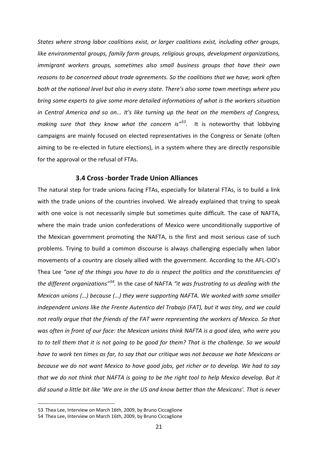*States where strong labor coalitions exist, or larger coalitions exist, including other groups, like environmental groups, family farm groups, religious groups, development organizations, immigrant workers groups, sometimes also small business groups that have their own reasons to be concerned about trade agreements. So the coalitions that we have, work often both at the national level but also in every state. There's also some town meetings where you bring some experts to give some more detailed informations of what is the workers situation in Central America and so on... It's like turning up the heat on the members of Congress, making sure that they know what the concern is"[53](#page-29-1)*. It is noteworthy that lobbying campaigns are mainly focused on elected representatives in the Congress or Senate (often aiming to be re‐elected in future elections), in a system where they are directly responsible for the approval or the refusal of FTAs.

## **3.4 Cross ‐border Trade Union Alliances**

<span id="page-29-0"></span>The natural step for trade unions facing FTAs, especially for bilateral FTAs, is to build a link with the trade unions of the countries involved. We already explained that trying to speak with one voice is not necessarily simple but sometimes quite difficult. The case of NAFTA, where the main trade union confederations of Mexico were unconditionally supportive of the Mexican government promoting the NAFTA, is the first and most serious case of such problems. Trying to build a common discourse is always challenging especially when labor movements of a country are closely allied with the government. According to the AFL‐CIO's Thea Lee *"one of the things you have to do is respect the politics and the constituencies of the different organizations"[54](#page-29-2).* In the case of NAFTA *"it was frustrating to us dealing with the Mexican unions (…) because (…) they were supporting NAFTA. We worked with some smaller independent unions like the Frente Autentico del Trabajo (FAT), but it was tiny, and we could not really argue that the friends of the FAT were representing the workers of Mexico. So that was often in front of our face: the Mexican unions think NAFTA is a good idea, who were you* to to tell them that it is not going to be good for them? That is the challenge. So we would *have to work ten times as far, to say that our critique was not because we hate Mexicans or because we do not want Mexico to have good jobs, get richer or to develop. We had to say* that we do not think that NAFTA is going to be the right tool to help Mexico develop. But it did sound a little bit like 'We are in the US and know better than the Mexicans'. That is never

<span id="page-29-1"></span><sup>53</sup> Thea Lee, Interview on March 16th, 2009, by Bruno Ciccaglione

<span id="page-29-2"></span><sup>54</sup> Thea Lee, Interview on March 16th, 2009, by Bruno Ciccaglione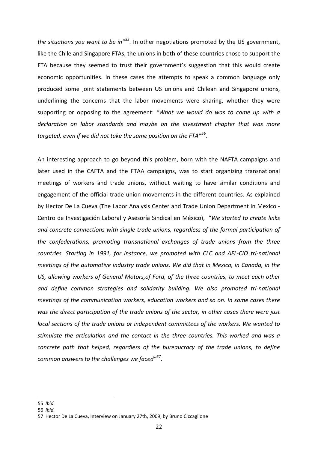*the situations you want to be in"[55.](#page-30-0)* In other negotiations promoted by the US government, like the Chile and Singapore FTAs, the unions in both of these countries chose to support the FTA because they seemed to trust their government's suggestion that this would create economic opportunities. In these cases the attempts to speak a common language only produced some joint statements between US unions and Chilean and Singapore unions, underlining the concerns that the labor movements were sharing, whether they were supporting or opposing to the agreement: *"What we would do was to come up with a declaration on labor standards and maybe on the investment chapter that was more targeted, even if we did not take the same position on the FTA"[56](#page-30-1).* 

An interesting approach to go beyond this problem, born with the NAFTA campaigns and later used in the CAFTA and the FTAA campaigns, was to start organizing transnational meetings of workers and trade unions, without waiting to have similar conditions and engagement of the official trade union movements in the different countries. As explained by Hector De La Cueva (The Labor Analysis Center and Trade Union Department in Mexico ‐ Centro de Investigación Laboral y Asesoría Sindical en México), "*We started to create links and concrete connections with single trade unions, regardless of the formal participation of the confederations, promoting transnational exchanges of trade unions from the three countries. Starting in 1991, for instance, we promoted with CLC and AFL‐CIO tri‐national meetings of the automotive industry trade unions. We did that in Mexico, in Canada, in the US, allowing workers of General Motors,of Ford, of the three countries, to meet each other and define common strategies and solidarity building. We also promoted tri‐national meetings of the communication workers, education workers and so on. In some cases there was the direct participation of the trade unions of the sector, in other cases there were just local sections of the trade unions or independent committees of the workers. We wanted to stimulate the articulation and the contact in the three countries. This worked and was a concrete path that helped, regardless of the bureaucracy of the trade unions, to define common answers to the challenges we faced"[57](#page-30-2).* 

<span id="page-30-0"></span><sup>55</sup> *Ibid.*

<span id="page-30-1"></span><sup>56</sup> *Ibid.*

<span id="page-30-2"></span><sup>57</sup> Hector De La Cueva, Interview on January 27th, 2009, by Bruno Ciccaglione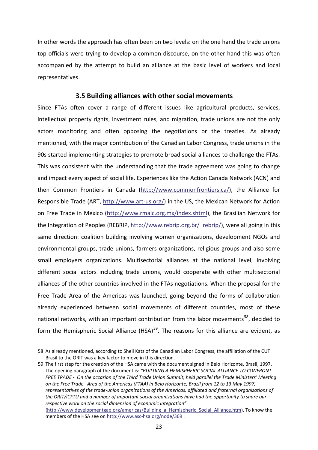In other words the approach has often been on two levels: on the one hand the trade unions top officials were trying to develop a common discourse, on the other hand this was often accompanied by the attempt to build an alliance at the basic level of workers and local representatives.

#### **3.5 Building alliances with other social movements**

<span id="page-31-0"></span>Since FTAs often cover a range of different issues like agricultural products, services, intellectual property rights, investment rules, and migration, trade unions are not the only actors monitoring and often opposing the negotiations or the treaties. As already mentioned, with the major contribution of the Canadian Labor Congress, trade unions in the 90s started implementing strategies to promote broad social alliances to challenge the FTAs. This was consistent with the understanding that the trade agreement was going to change and impact every aspect of social life. Experiences like the Action Canada Network (ACN) and then Common Frontiers in Canada (http://www.commonfrontiers.ca/), the Alliance for Responsible Trade (ART, http://www.art‐us.org/) in the US, the Mexican Network for Action on Free Trade in Mexico (http://www.rmalc.org.mx/index.shtml), the Brasilian Network for the Integration of Peoples (REBRIP, http://www.rebrip.org.br/\_rebrip/), were all going in this same direction: coalition building involving women organizations, development NGOs and environmental groups, trade unions, farmers organizations, religious groups and also some small employers organizations. Multisectorial alliances at the national level, involving different social actors including trade unions, would cooperate with other multisectorial alliances of the other countries involved in the FTAs negotiations. When the proposal for the Free Trade Area of the Americas was launched, going beyond the forms of collaboration already experienced between social movements of different countries, most of these national networks, with an important contribution from the labor movements<sup>[58](#page-31-1)</sup>, decided to form the Hemispheric Social Alliance (HSA)<sup>[59](#page-31-2)</sup>. The reasons for this alliance are evident, as

<span id="page-31-1"></span><sup>58</sup> As already mentioned, according to Sheil Katz of the Canadian Labor Congress, the affiliation of the CUT Brasil to the ORIT was a key factor to move in this direction.

<span id="page-31-2"></span><sup>59</sup> The first step for the creation of the HSA came with the document signed in Belo Horizonte, Brasil, 1997. The opening paragraph of the document is: *"BUILDING A HEMISPHERIC SOCIAL ALLIANCE TO CONFRONT* FREE TRADE - On the occasion of the Third Trade Union Summit, held parallel the Trade Ministers' Meeting on the Free Trade Area of the Americas (FTAA) in Belo Horizonte, Brazil from 12 to 13 May 1997, *representatives of the trade‐union organizations of the Americas, affiliated and fraternal organizations of the ORIT/ICFTU and a number of important social organizations have had the opportunity to share our respective work on the social dimension of economic integration"*

<sup>(</sup>http://www.developmentgap.org/americas/Building\_a\_Hemispheric\_Social\_Alliance.htm). To know the members of the HSA see on http://www.asc-hsa.org/node/369.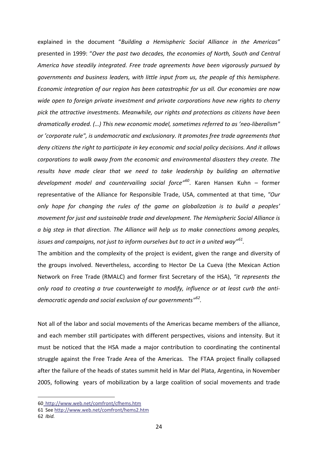explained in the document "*Building a Hemispheric Social Alliance in the Americas"* presented in 1999: "*Over the past two decades, the economies of North, South and Central America have steadily integrated. Free trade agreements have been vigorously pursued by governments and business leaders, with little input from us, the people of this hemisphere. Economic integration of our region has been catastrophic for us all. Our economies are now wide open to foreign private investment and private corporations have new rights to cherry pick the attractive investments. Meanwhile, our rights and protections as citizens have been dramatically eroded. (…) This new economic model, sometimes referred to as 'neo‐liberalism" or 'corporate rule", is undemocratic and exclusionary. It promotes free trade agreements that deny citizens the right to participate in key economic and social policy decisions. And it allows corporations to walk away from the economic and environmental disasters they create. The results have made clear that we need to take leadership by building an alternative development model and countervailing social force"[60](#page-32-0)*. Karen Hansen Kuhn – former representative of the Alliance for Responsible Trade, USA, commented at that time, *"Our only hope for changing the rules of the game on globalization is to build a peoples' movement for just and sustainable trade and development. The Hemispheric Social Alliance is a big step in that direction. The Alliance will help us to make connections among peoples, issues and campaigns, not just to inform ourselves but to act in a united way"[61.](#page-32-1)* 

The ambition and the complexity of the project is evident, given the range and diversity of the groups involved. Nevertheless, according to Hector De La Cueva (the Mexican Action Network on Free Trade (RMALC) and former first Secretary of the HSA), *"it represents the only road to creating a true counterweight to modify, influence or at least curb the anti‐ democratic agenda and social exclusion of our governments"[62.](#page-32-2)*

Not all of the labor and social movements of the Americas became members of the alliance, and each member still participates with different perspectives, visions and intensity. But it must be noticed that the HSA made a major contribution to coordinating the continental struggle against the Free Trade Area of the Americas. The FTAA project finally collapsed after the failure of the heads of states summit held in Mar del Plata, Argentina, in November 2005, following years of mobilization by a large coalition of social movements and trade

<span id="page-32-0"></span><sup>60</sup> http://www.web.net/comfront/cfhems.htm

<span id="page-32-1"></span><sup>61</sup> See http://www.web.net/comfront/hems2.htm

<span id="page-32-2"></span><sup>62</sup> *Ibid.*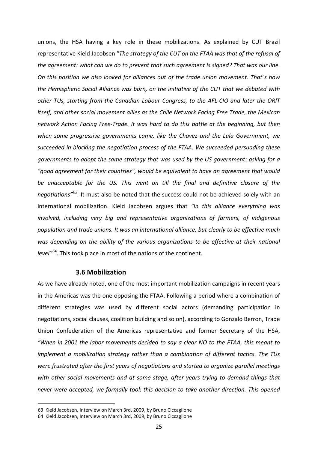unions, the HSA having a key role in these mobilizations. As explained by CUT Brazil representative Kield Jacobsen "*The strategy of the CUT on the FTAA was that of the refusal of the agreement: what can we do to prevent that such agreement is signed? That was our line. On this position we also looked for alliances out of the trade union movement. That`s how the Hemispheric Social Alliance was born, on the initiative of the CUT that we debated with other TUs, starting from the Canadian Labour Congress, to the AFL‐CIO and later the ORIT itself, and other social movement allies as the Chile Network Facing Free Trade, the Mexican network Action Facing Free‐Trade. It was hard to do this battle at the beginning, but then when some progressive governments came, like the Chavez and the Lula Government, we succeeded in blocking the negotiation process of the FTAA. We succeeded persuading these governments to adopt the same strategy that was used by the US government: asking for a "good agreement for their countries", would be equivalent to have an agreement that would be unacceptable for the US. This went on till the final and definitive closure of the negotiations"[63.](#page-33-1)* It must also be noted that the success could not be achieved solely with an international mobilization. Kield Jacobsen argues that *"In this alliance everything was involved, including very big and representative organizations of farmers, of indigenous population and trade unions. It was an international alliance, but clearly to be effective much was depending on the ability of the various organizations to be effective at their national level"[64](#page-33-2)*. This took place in most of the nations of the continent.

#### **3.6 Mobilization**

<span id="page-33-0"></span>As we have already noted, one of the most important mobilization campaigns in recent years in the Americas was the one opposing the FTAA. Following a period where a combination of different strategies was used by different social actors (demanding participation in negotiations, social clauses, coalition building and so on), according to Gonzalo Berron, Trade Union Confederation of the Americas representative and former Secretary of the HSA, *"When in 2001 the labor movements decided to say a clear NO to the FTAA, this meant to implement a mobilization strategy rather than a combination of different tactics. The TUs were frustrated after the first years of negotiations and started to organize parallel meetings with other social movements and at some stage, after years trying to demand things that never were accepted, we formally took this decision to take another direction. This opened*

<span id="page-33-1"></span><sup>63</sup> Kield Jacobsen, Interview on March 3rd, 2009, by Bruno Ciccaglione

<span id="page-33-2"></span><sup>64</sup> Kield Jacobsen, Interview on March 3rd, 2009, by Bruno Ciccaglione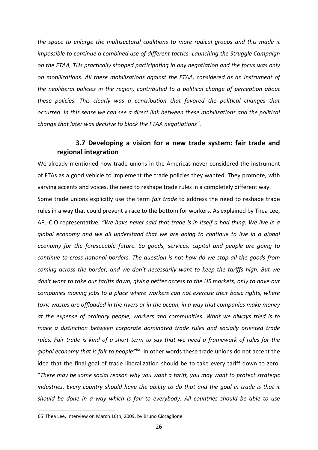*the space to enlarge the multisectoral coalitions to more radical groups and this made it impossible to continue a combined use of different tactics. Launching the Struggle Campaign on the FTAA, TUs practically stopped participating in any negotiation and the focus was only on mobilizations. All these mobilizations against the FTAA, considered as an instrument of the neoliberal policies in the region, contributed to a political change of perception about these policies. This clearly was a contribution that favored the political changes that occurred. In this sense we can see a direct link between these mobilizations and the political change that later was decisive to block the FTAA negotiations".* 

## **3.7 Developing a vision for a new trade system: fair trade and regional integration**

<span id="page-34-0"></span>We already mentioned how trade unions in the Americas never considered the instrument of FTAs as a good vehicle to implement the trade policies they wanted. They promote, with varying accents and voices, the need to reshape trade rules in a completely different way. Some trade unions explicitly use the term *fair trade* to address the need to reshape trade

rules in a way that could prevent a race to the bottom for workers. As explained by Thea Lee, AFL‐CIO representative, *"We have never said that trade is in itself a bad thing. We live in a global economy and we all understand that we are going to continue to live in a global economy for the foreseeable future. So goods, services, capital and people are going to continue to cross national borders. The question is not how do we stop all the goods from coming across the border, and we don't necessarily want to keep the tariffs high. But we don't want to take our tariffs down, giving better access to the US markets, only to have our companies moving jobs to a place where workers can not exercise their basic rights, where toxic wastes are offloaded in the rivers or in the ocean, in a way that companies make money at the expense of ordinary people, workers and communities. What we always tried is to make a distinction between corporate dominated trade rules and socially oriented trade* rules. Fair trade is kind of a short term to say that we need a framework of rules for the *global economy that is fair to people"[65](#page-34-1)*. In other words these trade unions do not accept the idea that the final goal of trade liberalization should be to take every tariff down to zero. "*There may be some social reason why you want a tariff, you may want to protect strategic industries. Every country should have the ability to do that and the goal in trade is that it should be done in a way which is fair to everybody. All countries should be able to use*

<span id="page-34-1"></span><sup>65</sup> Thea Lee, Interview on March 16th, 2009, by Bruno Ciccaglione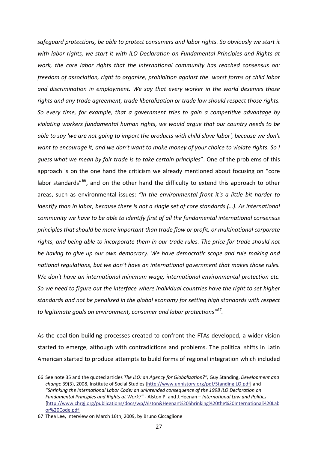*safeguard protections, be able to protect consumers and labor rights. So obviously we start it with labor rights, we start it with ILO Declaration on Fundamental Principles and Rights at work, the core labor rights that the international community has reached consensus on: freedom of association, right to organize, prohibition against the worst forms of child labor and discrimination in employment. We say that every worker in the world deserves those rights and any trade agreement, trade liberalization or trade law should respect those rights. So every time, for example, that a government tries to gain a competitive advantage by violating workers fundamental human rights, we would argue that our country needs to be able to say 'we are not going to import the products with child slave labor', because we don't* want to encourage it, and we don't want to make money of your choice to violate rights. So I *guess what we mean by fair trade is to take certain principles*". One of the problems of this approach is on the one hand the criticism we already mentioned about focusing on "core labor standards<sup>"66</sup>, and on the other hand the difficulty to extend this approach to other areas, such as environmental issues: *"In the environmental front it's a little bit harder to identify than in labor, because there is not a single set of core standards (…). As international community we have to be able to identify first of all the fundamental international consensus principles that should be more important than trade flow or profit, or multinational corporate rights, and being able to incorporate them in our trade rules. The price for trade should not be having to give up our own democracy. We have democratic scope and rule making and national regulations, but we don't have an international government that makes those rules. We don't have an international minimum wage, international environmental protection etc. So we need to figure out the interface where individual countries have the right to set higher standards and not be penalized in the global economy for setting high standards with respect to legitimate goals on environment, consumer and labor protections"[67.](#page-35-1)* 

As the coalition building processes created to confront the FTAs developed, a wider vision started to emerge, although with contradictions and problems. The political shifts in Latin American started to produce attempts to build forms of regional integration which included

<span id="page-35-0"></span><sup>66</sup> See note 35 and the quoted articles *The ILO: an Agency for Globalization?",* Guy Standing, *Development and change* 39(3), 2008, Institute of Social Studies [http://www.unhistory.org/pdf/StandingILO.pdf] and *"Shrinking the International Labor Code: an unintended consequence of the 1998 ILO Declaration on Fundamental Principles and Rights at Work?"* ‐ Alston P. and J.Heenan – *International Law and Politics* [http://www.chrgj.org/publications/docs/wp/Alston&Heenan%20Shrinking%20the%20International%20Lab or%20Code.pdf]

<span id="page-35-1"></span><sup>67</sup> Thea Lee, Interview on March 16th, 2009, by Bruno Ciccaglione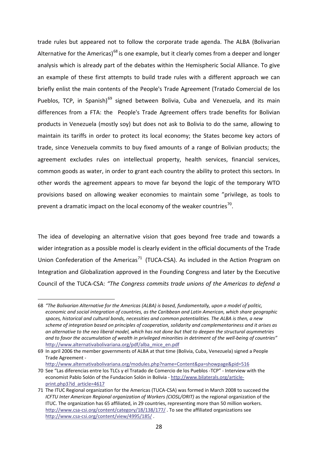trade rules but appeared not to follow the corporate trade agenda. The ALBA (Bolivarian Alternative for the Americas)<sup>[68](#page-36-0)</sup> is one example, but it clearly comes from a deeper and longer analysis which is already part of the debates within the Hemispheric Social Alliance. To give an example of these first attempts to build trade rules with a different approach we can briefly enlist the main contents of the People's Trade Agreement (Tratado Comercial de los Pueblos, TCP, in Spanish)<sup>[69](#page-36-1)</sup> signed between Bolivia, Cuba and Venezuela, and its main differences from a FTA: the People's Trade Agreement offers trade benefits for Bolivian products in Venezuela (mostly soy) but does not ask to Bolivia to do the same, allowing to maintain its tariffs in order to protect its local economy; the States become key actors of trade, since Venezuela commits to buy fixed amounts of a range of Bolivian products; the agreement excludes rules on intellectual property, health services, financial services, common goods as water, in order to grant each country the ability to protect this sectors. In other words the agreement appears to move far beyond the logic of the temporary WTO provisions based on allowing weaker economies to maintain some "privilege, as tools to prevent a dramatic impact on the local economy of the weaker countries $^{70}$ .

The idea of developing an alternative vision that goes beyond free trade and towards a wider integration as a possible model is clearly evident in the official documents of the Trade Union Confederation of the Americas<sup>[71](#page-36-3)</sup> (TUCA-CSA). As included in the Action Program on Integration and Globalization approved in the Founding Congress and later by the Executive Council of the TUCA‐CSA: *"The Congress commits trade unions of the Americas to defend a*

<span id="page-36-0"></span><sup>68</sup> *"The Bolivarian Alternative for the Americas (ALBA) is based, fundamentally, upon a model of politic, economic and social integration of countries, as the Caribbean and Latin American, which share geographic spaces, historical and cultural bonds, necessities and common potentialities. The ALBA is then, a new scheme of integration based on principles of cooperation, solidarity and complementariness and it arises as* an alternative to the neo liberal model, which has not done but that to deepen the structural asymmetries and to favor the accumulation of wealth in privileged minorities in detriment of the well-being of countries" http://www.alternativabolivariana.org/pdf/alba\_mice\_en.pdf

<span id="page-36-1"></span><sup>69</sup> In april 2006 the member governments of ALBA at that time (Bolivia, Cuba, Venezuela) signed a People Trade Agreement ‐

http://www.alternativabolivariana.org/modules.php?name=Content&pa=showpage&pid=516

<span id="page-36-2"></span><sup>70</sup> See "Las diferencias entre los TLCs y el Tratado de Comercio de los Pueblos ‐TCP" ‐ Interview with the economist Pablo Solón of the Fundacion Solón in Bolivia ‐ http://www.bilaterals.org/article‐ print.php3?id\_article=4617

<span id="page-36-3"></span><sup>71</sup> The ITUC Regional organization for the Americas (TUCA‐CSA) was formed in March 2008 to succeed the *ICFTU Inter American Regional organization of Workers (CIOSL/ORIT)* as the regional organization of the ITUC. The organization has 65 affiliated, in 29 countries, representing more than 50 million workers. http://www.csa-csi.org/content/category/18/138/177/ . To see the affiliated organizations see http://www.csa-csi.org/content/view/4995/185/.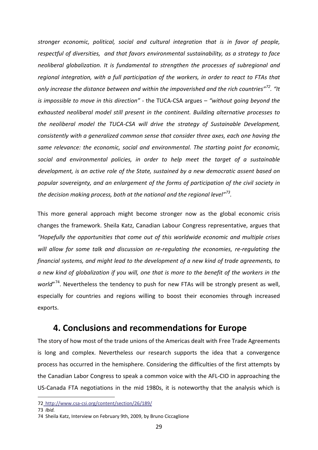*stronger economic, political, social and cultural integration that is in favor of people, respectful of diversities, and that favors environmental sustainability, as a strategy to face neoliberal globalization. It is fundamental to strengthen the processes of subregional and regional integration, with a full participation of the workers, in order to react to FTAs that only increase the distance between and within the impoverished and the rich countries"[72](#page-37-1). "It is impossible to move in this direction" ‐* the TUCA‐CSA argues *– "without going beyond the exhausted neoliberal model still present in the continent. Building alternative processes to the neoliberal model the TUCA‐CSA will drive the strategy of Sustainable Development, consistently with a generalized common sense that consider three axes, each one having the same relevance: the economic, social and environmental. The starting point for economic, social and environmental policies, in order to help meet the target of a sustainable development, is an active role of the State, sustained by a new democratic assent based on popular sovereignty, and an enlargement of the forms of participation of the civil society in the decision making process, both at the national and the regional level"[73](#page-37-2).* 

This more general approach might become stronger now as the global economic crisis changes the framework. Sheila Katz, Canadian Labour Congress representative, argues that *"Hopefully the opportunities that come out of this worldwide economic and multiple crises will allow for some talk and discussion on re‐regulating the economies, re‐regulating the financial systems, and might lead to the development of a new kind of trade agreements, to* a new kind of globalization if you will, one that is more to the benefit of the workers in the world"<sup>74</sup>. Nevertheless the tendency to push for new FTAs will be strongly present as well, especially for countries and regions willing to boost their economies through increased exports.

# **4. Conclusions and recommendations for Europe**

<span id="page-37-0"></span>The story of how most of the trade unions of the Americas dealt with Free Trade Agreements is long and complex. Nevertheless our research supports the idea that a convergence process has occurred in the hemisphere. Considering the difficulties of the first attempts by the Canadian Labor Congress to speak a common voice with the AFL‐CIO in approaching the US‐Canada FTA negotiations in the mid 1980s, it is noteworthy that the analysis which is

<span id="page-37-1"></span><sup>72</sup> http://www.csa‐csi.org/content/section/26/189/

<span id="page-37-2"></span><sup>73</sup> *Ibid.*

<span id="page-37-3"></span><sup>74</sup> Sheila Katz, Interview on February 9th, 2009, by Bruno Ciccaglione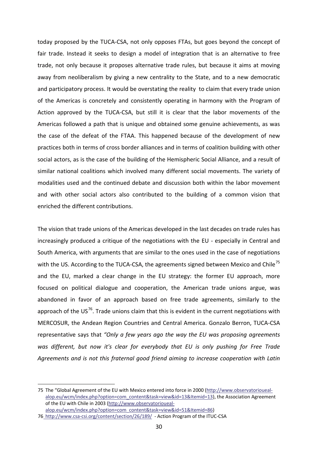today proposed by the TUCA‐CSA, not only opposes FTAs, but goes beyond the concept of fair trade. Instead it seeks to design a model of integration that is an alternative to free trade, not only because it proposes alternative trade rules, but because it aims at moving away from neoliberalism by giving a new centrality to the State, and to a new democratic and participatory process. It would be overstating the reality to claim that every trade union of the Americas is concretely and consistently operating in harmony with the Program of Action approved by the TUCA‐CSA, but still it is clear that the labor movements of the Americas followed a path that is unique and obtained some genuine achievements, as was the case of the defeat of the FTAA. This happened because of the development of new practices both in terms of cross border alliances and in terms of coalition building with other social actors, as is the case of the building of the Hemispheric Social Alliance, and a result of similar national coalitions which involved many different social movements. The variety of modalities used and the continued debate and discussion both within the labor movement and with other social actors also contributed to the building of a common vision that enriched the different contributions.

The vision that trade unions of the Americas developed in the last decades on trade rules has increasingly produced a critique of the negotiations with the EU - especially in Central and South America, with arguments that are similar to the ones used in the case of negotiations with the US. According to the TUCA-CSA, the agreements signed between Mexico and Chile<sup>[75](#page-38-0)</sup> and the EU, marked a clear change in the EU strategy: the former EU approach, more focused on political dialogue and cooperation, the American trade unions argue, was abandoned in favor of an approach based on free trade agreements, similarly to the approach of the US<sup>[76](#page-38-1)</sup>. Trade unions claim that this is evident in the current negotiations with MERCOSUR, the Andean Region Countries and Central America. Gonzalo Berron, TUCA‐CSA representative says that *"Only a few years ago the way the EU was proposing agreements was different, but now it's clear for everybody that EU is only pushing for Free Trade Agreements and is not this fraternal good friend aiming to increase cooperation with Latin*

<span id="page-38-0"></span><sup>75</sup> The "Global Agreement of the EU with Mexico entered into force in 2000 (http://www.observatorioueal‐ alop.eu/wcm/index.php?option=com\_content&task=view&id=13&Itemid=13), the Association Agreement of the EU with Chile in 2003 (http://www.observatorioueal‐ alop.eu/wcm/index.php?option=com\_content&task=view&id=51&Itemid=86)

<span id="page-38-1"></span><sup>76</sup>\_http://www.csa-csi.org/content/section/26/189/ - Action Program of the ITUC-CSA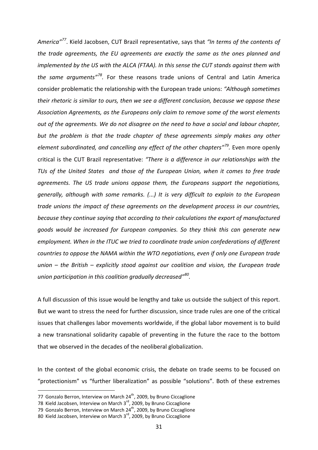*America"[77](#page-39-0)*. Kield Jacobsen, CUT Brazil representative, says that *"In terms of the contents of the trade agreements, the EU agreements are exactly the same as the ones planned and implemented by the US with the ALCA (FTAA). In this sense the CUT stands against them with the same arguments"[78](#page-39-1).* For these reasons trade unions of Central and Latin America consider problematic the relationship with the European trade unions: *"Although sometimes their rhetoric is similar to ours, then we see a different conclusion, because we oppose these Association Agreements, as the Europeans only claim to remove some of the worst elements out of the agreements. We do not disagree on the need to have a social and labour chapter, but the problem is that the trade chapter of these agreements simply makes any other element subordinated, and cancelling any effect of the other chapters"[79](#page-39-2).* Even more openly critical is the CUT Brazil representative: *"There is a difference in our relationships with the TUs of the United States and those of the European Union, when it comes to free trade agreements. The US trade unions oppose them, the Europeans support the negotiations, generally, although with some remarks. (...) It is very difficult to explain to the European trade unions the impact of these agreements on the development process in our countries, because they continue saying that according to their calculations the export of manufactured goods would be increased for European companies. So they think this can generate new employment. When in the ITUC we tried to coordinate trade union confederations of different countries to oppose the NAMA within the WTO negotiations, even if only one European trade union – the British – explicitly stood against our coalition and vision, the European trade union participation in this coalition gradually decreased"[80.](#page-39-3)*

A full discussion of this issue would be lengthy and take us outside the subject of this report. But we want to stress the need for further discussion, since trade rules are one of the critical issues that challenges labor movements worldwide, if the global labor movement is to build a new transnational solidarity capable of preventing in the future the race to the bottom that we observed in the decades of the neoliberal globalization.

In the context of the global economic crisis, the debate on trade seems to be focused on "protectionism" vs "further liberalization" as possible "solutions". Both of these extremes

<span id="page-39-0"></span><sup>77</sup> Gonzalo Berron, Interview on March 24<sup>th</sup>, 2009, by Bruno Ciccaglione

<span id="page-39-1"></span><sup>78</sup> Kield Jacobsen, Interview on March 3<sup>rd</sup>, 2009, by Bruno Ciccaglione

<span id="page-39-2"></span><sup>79</sup> Gonzalo Berron, Interview on March  $24^{th}$ , 2009, by Bruno Ciccaglione

<span id="page-39-3"></span><sup>80</sup> Kield Jacobsen, Interview on March 3<sup>rd</sup>, 2009, by Bruno Ciccaglione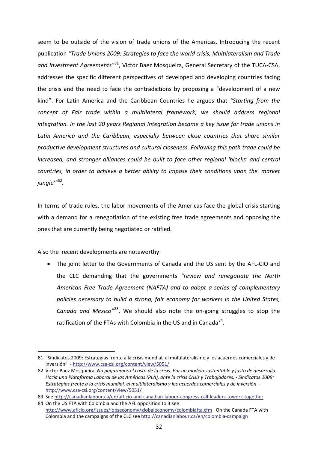seem to be outside of the vision of trade unions of the Americas. Introducing the recent publication *"Trade Unions 2009: Strategies to face the world crisis, Multilateralism and Trade and Investment Agreements"*[81](#page-40-0), Victor Baez Mosqueira, General Secretary of the TUCA‐CSA, addresses the specific different perspectives of developed and developing countries facing the crisis and the need to face the contradictions by proposing a "development of a new kind". For Latin America and the Caribbean Countries he argues that *"Starting from the concept of Fair trade within a multilateral framework, we should address regional integration. In the last 20 years Regional Integration became a key issue for trade unions in Latin America and the Caribbean, especially between close countries that share similar productive development structures and cultural closeness. Following this path trade could be increased, and stronger alliances could be built to face other regional 'blocks' and central countries, in order to achieve a better ability to impose their conditions upon the 'market jungle'"[82](#page-40-1).* 

In terms of trade rules, the labor movements of the Americas face the global crisis starting with a demand for a renegotiation of the existing free trade agreements and opposing the ones that are currently being negotiated or ratified.

Also the recent developments are noteworthy:

1

• The joint letter to the Governments of Canada and the US sent by the AFL‐CIO and the CLC demanding that the governments *"review and renegotiate the North American Free Trade Agreement (NAFTA) and to adopt a series of complementary policies necessary to build a strong, fair economy for workers in the United States, Canada and Mexico"*[83.](#page-40-2) We should also note the on‐going struggles to stop the ratification of the FTAs with Colombia in the US and in Canada<sup>[84](#page-40-3)</sup>.

<span id="page-40-0"></span><sup>81</sup> "Sindicatos 2009: Estrategias frente a la crisis mundial, el multilateralismo y los acuerdos comerciales y de inversión" ‐ http://www.csa‐csi.org/content/view/5051/

<span id="page-40-1"></span><sup>82</sup> Victor Baez Mosqueira, *No pagaremos el costo de la crisis. Por un modelo sustentable y justo de desarrollo.* Hacia una Plataforma Laboral de las Américas (PLA), ante la crisis Crisis y Trabajadores, - Sindicatos 2009: *Estrategias frente a la crisis mundial, el multilateralismo y los acuerdos comerciales y de inversión ‐*  http://www.csa‐csi.org/content/view/5051/

<span id="page-40-3"></span><span id="page-40-2"></span><sup>83</sup> See http://canadianlabour.ca/en/afl-cio-and-canadian-labour-congress-call-leaders-towork-together 84 On the US FTA with Colombia and the AFL opposition to it see

http://www.aflcio.org/issues/jobseconomy/globaleconomy/colombiafta.cfm . On the Canada FTA with Colombia and the campaigns of the CLC see http://canadianlabour.ca/en/colombia‐campaign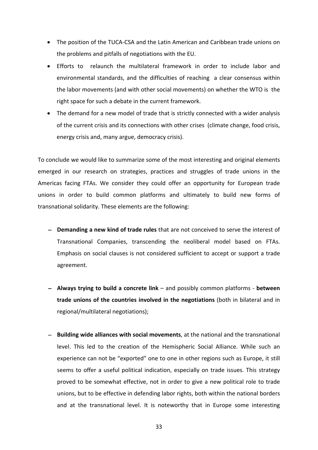- The position of the TUCA‐CSA and the Latin American and Caribbean trade unions on the problems and pitfalls of negotiations with the EU.
- Efforts to relaunch the multilateral framework in order to include labor and environmental standards, and the difficulties of reaching a clear consensus within the labor movements (and with other social movements) on whether the WTO is the right space for such a debate in the current framework.
- The demand for a new model of trade that is strictly connected with a wider analysis of the current crisis and its connections with other crises (climate change, food crisis, energy crisis and, many argue, democracy crisis).

To conclude we would like to summarize some of the most interesting and original elements emerged in our research on strategies, practices and struggles of trade unions in the Americas facing FTAs. We consider they could offer an opportunity for European trade unions in order to build common platforms and ultimately to build new forms of transnational solidarity. These elements are the following:

- − **Demanding a new kind of trade rules** that are not conceived to serve the interest of Transnational Companies, transcending the neoliberal model based on FTAs. Emphasis on social clauses is not considered sufficient to accept or support a trade agreement.
- − **Always trying to build a concrete link** and possibly common platforms ‐ **between trade unions of the countries involved in the negotiations** (both in bilateral and in regional/multilateral negotiations);
- − **Building wide alliances with social movements**, at the national and the transnational level. This led to the creation of the Hemispheric Social Alliance. While such an experience can not be "exported" one to one in other regions such as Europe, it still seems to offer a useful political indication, especially on trade issues. This strategy proved to be somewhat effective, not in order to give a new political role to trade unions, but to be effective in defending labor rights, both within the national borders and at the transnational level. It is noteworthy that in Europe some interesting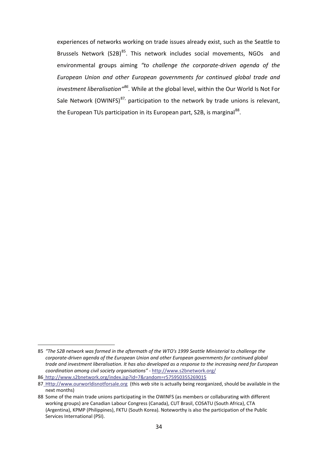experiences of networks working on trade issues already exist, such as the Seattle to Brussels Network (S2B) $^{85}$ . This network includes social movements, NGOs and environmental groups aiming *"to challenge the corporate‐driven agenda of the European Union and other European governments for continued global trade and investment liberalisation"[86](#page-42-1).* While at the global level, within the Our World Is Not For Sale Network (OWINFS)<sup>[87,](#page-42-2)</sup> participation to the network by trade unions is relevant, the European TUs participation in its European part, S2B, is marginal<sup>88</sup>.

<span id="page-42-0"></span><sup>&</sup>lt;u>.</u> 85 *"The S2B network was formed in the aftermath of the WTO's 1999 Seattle Ministerial to challenge the corporate‐driven agenda of the European Union and other European governments for continued global* trade and investment liberalisation. It has also developed as a response to the increasing need for European *coordination among civil society organisations"* ‐ http://www.s2bnetwork.org/

<span id="page-42-1"></span><sup>86</sup> http://www.s2bnetwork.org/index.jsp?id=7&random=r575950355269015

<span id="page-42-2"></span><sup>87</sup> Http://www.ourworldisnotforsale.org (this web site is actually being reorganized, should be available in the next months)

<span id="page-42-3"></span><sup>88</sup> Some of the main trade unions participating in the OWINFS (as members or collaburating with different working groups) are Canadian Labour Congress (Canada), CUT Brasil, COSATU (South Africa), CTA (Argentina), KPMP (Philippines), FKTU (South Korea). Noteworthy is also the participation of the Public Services International (PSI).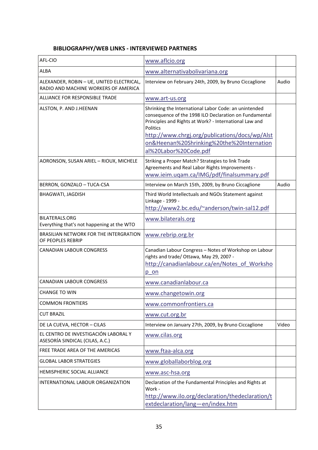## **BIBLIOGRAPHY/WEB LINKS ‐ INTERVIEWED PARTNERS**

<span id="page-43-0"></span>

| AFL-CIO                                                                           | www.aflcio.org                                                                                                                                                                                                                                                                                                       |       |
|-----------------------------------------------------------------------------------|----------------------------------------------------------------------------------------------------------------------------------------------------------------------------------------------------------------------------------------------------------------------------------------------------------------------|-------|
| <b>ALBA</b>                                                                       | www.alternativabolivariana.org                                                                                                                                                                                                                                                                                       |       |
| ALEXANDER, ROBIN - UE, UNITED ELECTRICAL,<br>RADIO AND MACHINE WORKERS OF AMERICA | Interview on February 24th, 2009, by Bruno Ciccaglione                                                                                                                                                                                                                                                               | Audio |
| ALLIANCE FOR RESPONSIBLE TRADE                                                    | www.art-us.org                                                                                                                                                                                                                                                                                                       |       |
| ALSTON, P. AND J.HEENAN                                                           | Shrinking the International Labor Code: an unintended<br>consequence of the 1998 ILO Declaration on Fundamental<br>Principles and Rights at Work? - International Law and<br><b>Politics</b><br>http://www.chrgj.org/publications/docs/wp/Alst<br>on&Heenan%20Shrinking%20the%20Internation<br>al%20Labor%20Code.pdf |       |
| AORONSON, SUSAN ARIEL - RIOUX, MICHELE                                            | Striking a Proper Match? Strategies to link Trade<br>Agreements and Real Labor Rights Improvements -<br>www.ieim.uqam.ca/IMG/pdf/finalsummary.pdf                                                                                                                                                                    |       |
| BERRON, GONZALO - TUCA-CSA                                                        | Interview on March 15th, 2009, by Bruno Ciccaglione                                                                                                                                                                                                                                                                  | Audio |
| <b>BHAGWATI, JAGDISH</b>                                                          | Third World Intellectuals and NGOs Statement against<br>Linkage - 1999 -<br>http://www2.bc.edu/~anderson/twin-sal12.pdf                                                                                                                                                                                              |       |
| <b>BILATERALS.ORG</b><br>Everything that's not happening at the WTO               | www.bilaterals.org                                                                                                                                                                                                                                                                                                   |       |
| BRASILIAN NETWORK FOR THE INTERGRATION<br>OF PEOPLES REBRIP                       | www.rebrip.org.br                                                                                                                                                                                                                                                                                                    |       |
| <b>CANADIAN LABOUR CONGRESS</b>                                                   | Canadian Labour Congress - Notes of Workshop on Labour<br>rights and trade/ Ottawa, May 29, 2007 -<br>http://canadianlabour.ca/en/Notes of Worksho<br>p on                                                                                                                                                           |       |
| <b>CANADIAN LABOUR CONGRESS</b>                                                   | www.canadianlabour.ca                                                                                                                                                                                                                                                                                                |       |
| <b>CHANGE TO WIN</b>                                                              | www.changetowin.org                                                                                                                                                                                                                                                                                                  |       |
| <b>COMMON FRONTIERS</b>                                                           | www.commonfrontiers.ca                                                                                                                                                                                                                                                                                               |       |
| <b>CUT BRAZIL</b>                                                                 | www.cut.org.br                                                                                                                                                                                                                                                                                                       |       |
| DE LA CUEVA, HECTOR - CILAS                                                       | Interview on January 27th, 2009, by Bruno Ciccaglione                                                                                                                                                                                                                                                                | Video |
| EL CENTRO DE INVESTIGACIÓN LABORAL Y<br>ASESORÍA SINDICAL (CILAS, A.C.)           | www.cilas.org                                                                                                                                                                                                                                                                                                        |       |
| FREE TRADE AREA OF THE AMERICAS                                                   | www.ftaa-alca.org                                                                                                                                                                                                                                                                                                    |       |
| <b>GLOBAL LABOR STRATEGIES</b>                                                    | www.globallaborblog.org                                                                                                                                                                                                                                                                                              |       |
| <b>HEMISPHERIC SOCIAL ALLIANCE</b>                                                | www.asc-hsa.org                                                                                                                                                                                                                                                                                                      |       |
| INTERNATIONAL LABOUR ORGANIZATION                                                 | Declaration of the Fundamental Principles and Rights at<br>Work -<br>http://www.ilo.org/declaration/thedeclaration/t<br>extdeclaration/lang-en/index.htm                                                                                                                                                             |       |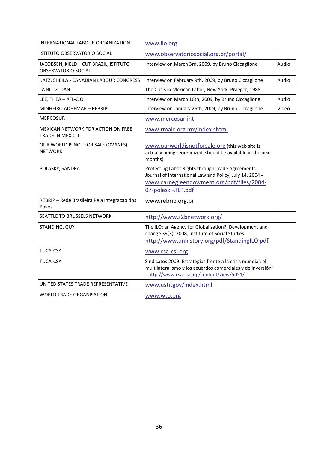| INTERNATIONAL LABOUR ORGANIZATION                                    | www.ilo.org                                                                                                                                                                        |       |
|----------------------------------------------------------------------|------------------------------------------------------------------------------------------------------------------------------------------------------------------------------------|-------|
| <b>ISTITUTO OBSERVATORIO SOCIAL</b>                                  | www.observatoriosocial.org.br/portal/                                                                                                                                              |       |
| JACOBSEN, KIELD - CUT BRAZIL, ISTITUTO<br><b>OBSERVATORIO SOCIAL</b> | Interview on March 3rd, 2009, by Bruno Ciccaglione                                                                                                                                 | Audio |
| KATZ, SHEILA - CANADIAN LABOUR CONGRESS                              | Interview on February 9th, 2009, by Bruno Ciccaglione                                                                                                                              | Audio |
| LA BOTZ, DAN                                                         | The Crisis in Mexican Labor, New York: Praeger, 1988.                                                                                                                              |       |
| LEE, THEA - AFL-CIO                                                  | Interview on March 16th, 2009, by Bruno Ciccaglione                                                                                                                                | Audio |
| MINHEIRO ADHEMAR - REBRIP                                            | Interview on January 26th, 2009, by Bruno Ciccaglione                                                                                                                              | Video |
| <b>MERCOSUR</b>                                                      | www.mercosur.int                                                                                                                                                                   |       |
| <b>MEXICAN NETWORK FOR ACTION ON FREE</b><br><b>TRADE IN MEXICO</b>  | www.rmalc.org.mx/index.shtml                                                                                                                                                       |       |
| OUR WORLD IS NOT FOR SALE (OWINFS)<br><b>NETWORK</b>                 | www.ourworldisnotforsale.org (this web site is<br>actually being reorganized, should be available in the next<br>months)                                                           |       |
| POLASKY, SANDRA                                                      | Protecting Labor Rights through Trade Agreements -<br>Journal of International Law and Policy, July 14, 2004 -<br>www.carnegieendowment.org/pdf/files/2004-<br>07-polaski-JILP.pdf |       |
| REBRIP - Rede Brasileira Pela Integracao dos<br>Povos                | www.rebrip.org.br                                                                                                                                                                  |       |
| <b>SEATTLE TO BRUSSELS NETWORK</b>                                   | http://www.s2bnetwork.org/                                                                                                                                                         |       |
| STANDING, GUY                                                        | The ILO: an Agency for Globalization?, Development and<br>change 39(3), 2008, Institute of Social Studies<br>http://www.unhistory.org/pdf/StandingILO.pdf                          |       |
| <b>TUCA-CSA</b>                                                      | www.csa-csi.org                                                                                                                                                                    |       |
| <b>TUCA-CSA</b>                                                      | Sindicatos 2009: Estrategias frente a la crisis mundial, el<br>multilateralismo y los acuerdos comerciales y de inversión"<br>- http://www.csa-csi.org/content/view/5051/          |       |
| UNITED STATES TRADE REPRESENTATIVE                                   | www.ustr.gov/index.html                                                                                                                                                            |       |
| <b>WORLD TRADE ORGANISATION</b>                                      | www.wto.org                                                                                                                                                                        |       |